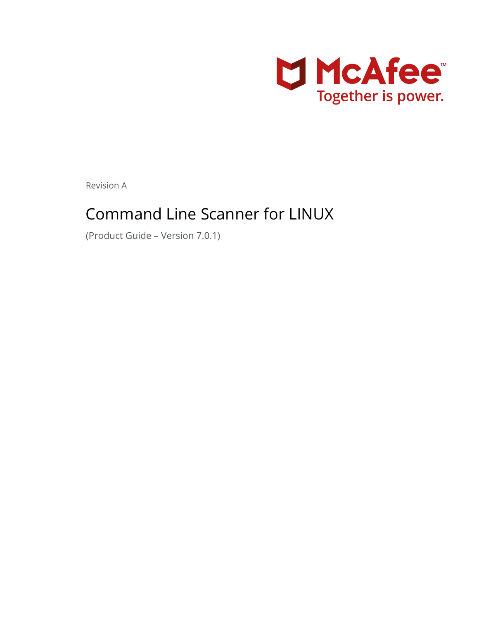

Revision A

# Command Line Scanner for LINUX

(Product Guide – Version 7.0.1)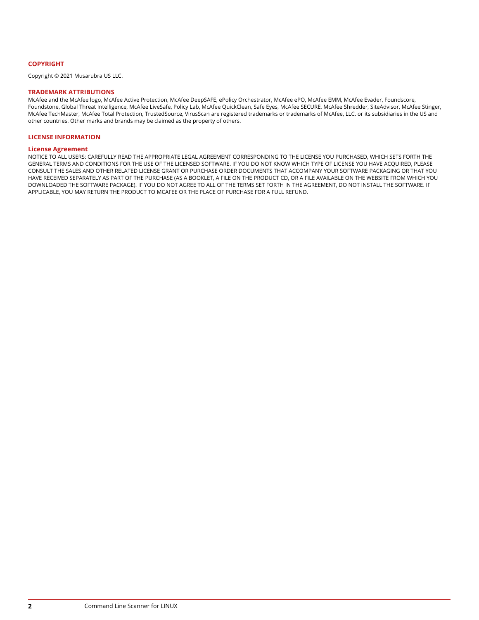### **COPYRIGHT**

Copyright © 2021 Musarubra US LLC.

#### **TRADEMARK ATTRIBUTIONS**

McAfee and the McAfee logo, McAfee Active Protection, McAfee DeepSAFE, ePolicy Orchestrator, McAfee ePO, McAfee EMM, McAfee Evader, Foundscore, Foundstone, Global Threat Intelligence, McAfee LiveSafe, Policy Lab, McAfee QuickClean, Safe Eyes, McAfee SECURE, McAfee Shredder, SiteAdvisor, McAfee Stinger, McAfee TechMaster, McAfee Total Protection, TrustedSource, VirusScan are registered trademarks or trademarks of McAfee, LLC. or its subsidiaries in the US and other countries. Other marks and brands may be claimed as the property of others.

### **LICENSE INFORMATION**

#### **License Agreement**

NOTICE TO ALL USERS: CAREFULLY READ THE APPROPRIATE LEGAL AGREEMENT CORRESPONDING TO THE LICENSE YOU PURCHASED, WHICH SETS FORTH THE GENERAL TERMS AND CONDITIONS FOR THE USE OF THE LICENSED SOFTWARE. IF YOU DO NOT KNOW WHICH TYPE OF LICENSE YOU HAVE ACQUIRED, PLEASE CONSULT THE SALES AND OTHER RELATED LICENSE GRANT OR PURCHASE ORDER DOCUMENTS THAT ACCOMPANY YOUR SOFTWARE PACKAGING OR THAT YOU HAVE RECEIVED SEPARATELY AS PART OF THE PURCHASE (AS A BOOKLET, A FILE ON THE PRODUCT CD, OR A FILE AVAILABLE ON THE WEBSITE FROM WHICH YOU DOWNLOADED THE SOFTWARE PACKAGE). IF YOU DO NOT AGREE TO ALL OF THE TERMS SET FORTH IN THE AGREEMENT, DO NOT INSTALL THE SOFTWARE. IF APPLICABLE, YOU MAY RETURN THE PRODUCT TO MCAFEE OR THE PLACE OF PURCHASE FOR A FULL REFUND.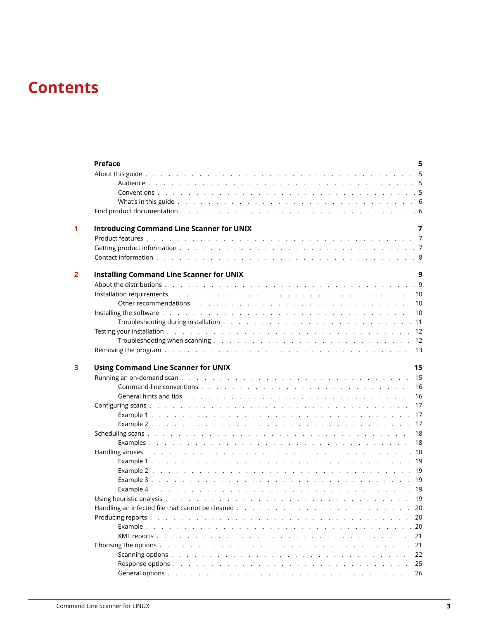# **Contents**

|   | <b>Preface</b>                                   | 5  |
|---|--------------------------------------------------|----|
|   |                                                  |    |
|   |                                                  |    |
|   |                                                  |    |
|   |                                                  |    |
|   |                                                  |    |
| 1 | <b>Introducing Command Line Scanner for UNIX</b> | 7  |
|   |                                                  |    |
|   |                                                  |    |
|   |                                                  |    |
| 2 | <b>Installing Command Line Scanner for UNIX</b>  | 9  |
|   |                                                  |    |
|   |                                                  | 10 |
|   |                                                  | 10 |
|   |                                                  | 10 |
|   |                                                  |    |
|   |                                                  |    |
|   |                                                  |    |
|   |                                                  |    |
| 3 | <b>Using Command Line Scanner for UNIX</b>       | 15 |
|   |                                                  |    |
|   |                                                  |    |
|   |                                                  |    |
|   |                                                  |    |
|   |                                                  |    |
|   |                                                  |    |
|   |                                                  |    |
|   |                                                  |    |
|   |                                                  |    |
|   |                                                  |    |
|   |                                                  |    |
|   |                                                  |    |
|   |                                                  |    |
|   |                                                  |    |
|   |                                                  |    |
|   |                                                  |    |
|   |                                                  |    |
|   |                                                  | 21 |
|   |                                                  |    |
|   |                                                  |    |
|   |                                                  | 22 |
|   |                                                  |    |
|   |                                                  |    |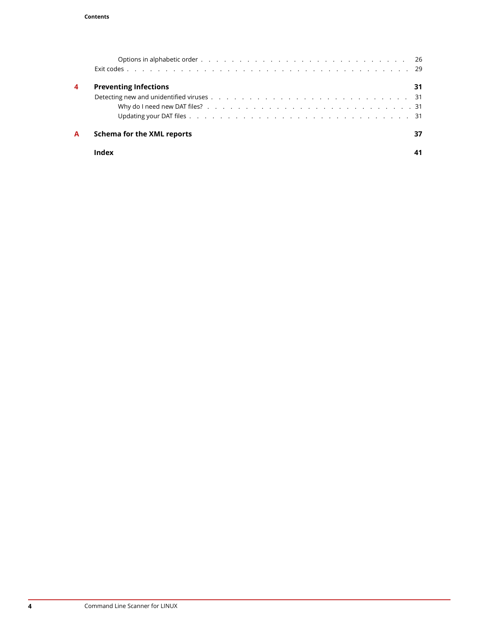<span id="page-3-0"></span>

| 4 | <b>Preventing Infections</b>                                                                                                             | 31 |
|---|------------------------------------------------------------------------------------------------------------------------------------------|----|
|   |                                                                                                                                          |    |
|   | Why do I need new DAT files? $\ldots$ , $\ldots$ , $\ldots$ , $\ldots$ , $\ldots$ , $\ldots$ , $\ldots$ , $\ldots$ , $\ldots$ , $\ldots$ |    |
|   |                                                                                                                                          |    |
| A | Schema for the XML reports                                                                                                               | 37 |
|   | Index                                                                                                                                    |    |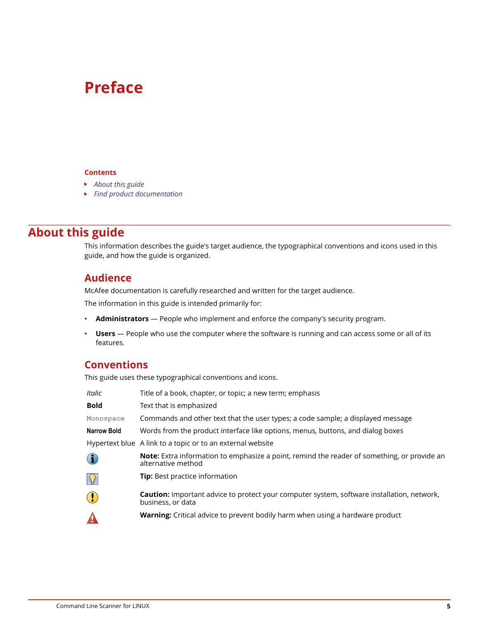# <span id="page-4-0"></span>**Preface**

### **Contents**

- *About this guide*
- *[Find product documentation](#page-5-0)*

# **About this guide**

This information describes the guide's target audience, the typographical conventions and icons used in this guide, and how the guide is organized.

### **Audience**

McAfee documentation is carefully researched and written for the target audience.

The information in this guide is intended primarily for:

- **Administrators** People who implement and enforce the company's security program.
- **Users** People who use the computer where the software is running and can access some or all of its features.

### **Conventions**

This guide uses these typographical conventions and icons.

| <b>Bold</b><br>Text that is emphasized<br>Commands and other text that the user types; a code sample; a displayed message<br>Monospace<br>Words from the product interface like options, menus, buttons, and dialog boxes<br><b>Narrow Bold</b><br>Hypertext blue A link to a topic or to an external website<br>$\bf (i)$<br>alternative method<br>$\boxed{Q}$<br><b>Tip:</b> Best practice information<br>$\bigodot$<br>business, or data<br><b>Warning:</b> Critical advice to prevent bodily harm when using a hardware product<br>$\boldsymbol{\mathbb{\Lambda}}$ | Italic | Title of a book, chapter, or topic; a new term; emphasis                                    |
|------------------------------------------------------------------------------------------------------------------------------------------------------------------------------------------------------------------------------------------------------------------------------------------------------------------------------------------------------------------------------------------------------------------------------------------------------------------------------------------------------------------------------------------------------------------------|--------|---------------------------------------------------------------------------------------------|
|                                                                                                                                                                                                                                                                                                                                                                                                                                                                                                                                                                        |        |                                                                                             |
|                                                                                                                                                                                                                                                                                                                                                                                                                                                                                                                                                                        |        |                                                                                             |
|                                                                                                                                                                                                                                                                                                                                                                                                                                                                                                                                                                        |        |                                                                                             |
|                                                                                                                                                                                                                                                                                                                                                                                                                                                                                                                                                                        |        |                                                                                             |
|                                                                                                                                                                                                                                                                                                                                                                                                                                                                                                                                                                        |        | Note: Extra information to emphasize a point, remind the reader of something, or provide an |
|                                                                                                                                                                                                                                                                                                                                                                                                                                                                                                                                                                        |        |                                                                                             |
|                                                                                                                                                                                                                                                                                                                                                                                                                                                                                                                                                                        |        | Caution: Important advice to protect your computer system, software installation, network,  |
|                                                                                                                                                                                                                                                                                                                                                                                                                                                                                                                                                                        |        |                                                                                             |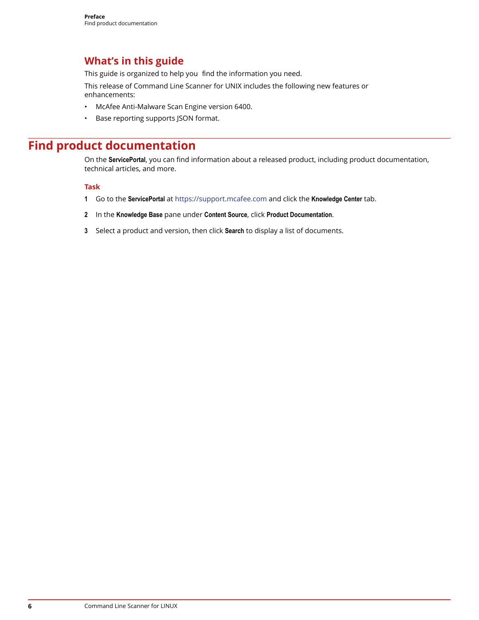# <span id="page-5-0"></span>**What's in this guide**

This guide is organized to help you find the information you need.

This release of Command Line Scanner for UNIX includes the following new features or enhancements:

- McAfee Anti-Malware Scan Engine version 6400.
- Base reporting supports JSON format.

# **Find product documentation**

On the **ServicePortal**, you can find information about a released product, including product documentation, technical articles, and more.

### **Task**

- **1** Go to the **ServicePortal** at <https://support.mcafee.com> and click the **Knowledge Center** tab.
- **2** In the **Knowledge Base** pane under **Content Source**, click **Product Documentation**.
- **3** Select a product and version, then click **Search** to display a list of documents.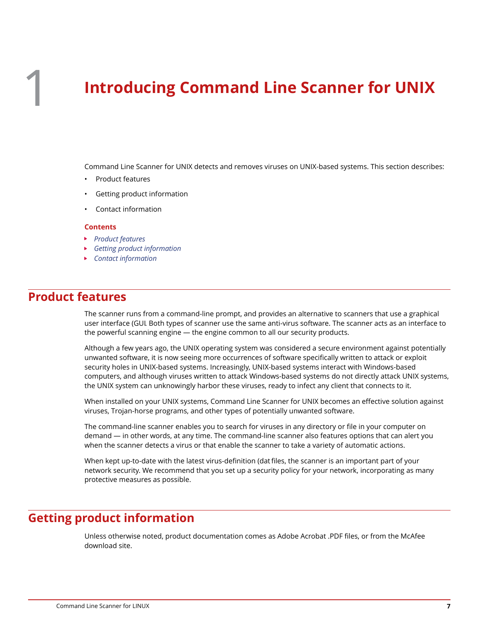# <span id="page-6-0"></span>1 **Introducing Command Line Scanner for UNIX**

Command Line Scanner for UNIX detects and removes viruses on UNIX-based systems. This section describes:

- Product features
- Getting product information
- Contact information

### **Contents**

- *Product features*
- *Getting product information*
- *[Contact information](#page-7-0)*

# **Product features**

The scanner runs from a command-line prompt, and provides an alternative to scanners that use a graphical user interface (GUI. Both types of scanner use the same anti-virus software. The scanner acts as an interface to the powerful scanning engine — the engine common to all our security products.

Although a few years ago, the UNIX operating system was considered a secure environment against potentially unwanted software, it is now seeing more occurrences of software specifically written to attack or exploit security holes in UNIX-based systems. Increasingly, UNIX-based systems interact with Windows-based computers, and although viruses written to attack Windows-based systems do not directly attack UNIX systems, the UNIX system can unknowingly harbor these viruses, ready to infect any client that connects to it.

When installed on your UNIX systems, Command Line Scanner for UNIX becomes an effective solution against viruses, Trojan-horse programs, and other types of potentially unwanted software.

The command-line scanner enables you to search for viruses in any directory or file in your computer on demand — in other words, at any time. The command-line scanner also features options that can alert you when the scanner detects a virus or that enable the scanner to take a variety of automatic actions.

When kept up-to-date with the latest virus-definition (dat files, the scanner is an important part of your network security. We recommend that you set up a security policy for your network, incorporating as many protective measures as possible.

# **Getting product information**

Unless otherwise noted, product documentation comes as Adobe Acrobat .PDF files, or from the McAfee download site.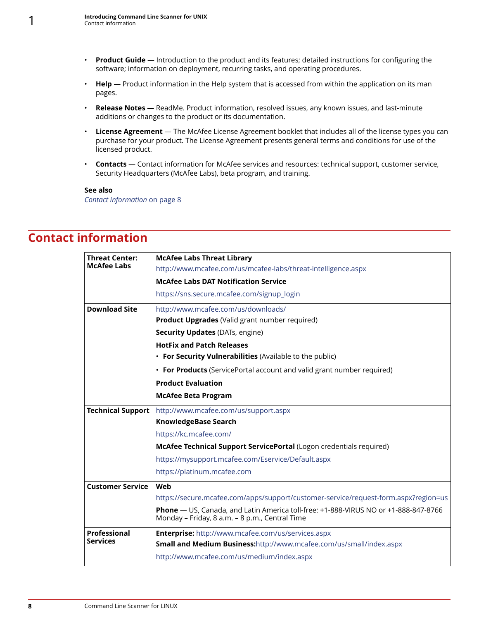- **Product Guide** Introduction to the product and its features; detailed instructions for configuring the software; information on deployment, recurring tasks, and operating procedures.
- **Help** Product information in the Help system that is accessed from within the application on its man pages.
- **Release Notes** ReadMe. Product information, resolved issues, any known issues, and last-minute additions or changes to the product or its documentation.
- **License Agreement** The McAfee License Agreement booklet that includes all of the license types you can purchase for your product. The License Agreement presents general terms and conditions for use of the licensed product.
- **Contacts** Contact information for McAfee services and resources: technical support, customer service, Security Headquarters (McAfee Labs), beta program, and training.

### **See also**

*Contact information* on page 8

# **Contact information**

<span id="page-7-0"></span>1

| <b>Threat Center:</b><br><b>McAfee Labs</b> | <b>McAfee Labs Threat Library</b>                                                                                                     |
|---------------------------------------------|---------------------------------------------------------------------------------------------------------------------------------------|
|                                             | http://www.mcafee.com/us/mcafee-labs/threat-intelligence.aspx                                                                         |
|                                             | <b>McAfee Labs DAT Notification Service</b>                                                                                           |
|                                             | https://sns.secure.mcafee.com/signup_login                                                                                            |
| <b>Download Site</b>                        | http://www.mcafee.com/us/downloads/                                                                                                   |
|                                             | <b>Product Upgrades (Valid grant number required)</b>                                                                                 |
|                                             | <b>Security Updates (DATs, engine)</b>                                                                                                |
|                                             | <b>HotFix and Patch Releases</b>                                                                                                      |
|                                             | • For Security Vulnerabilities (Available to the public)                                                                              |
|                                             | • For Products (ServicePortal account and valid grant number required)                                                                |
|                                             | <b>Product Evaluation</b>                                                                                                             |
|                                             | <b>McAfee Beta Program</b>                                                                                                            |
| <b>Technical Support</b>                    | http://www.mcafee.com/us/support.aspx                                                                                                 |
|                                             | <b>KnowledgeBase Search</b>                                                                                                           |
|                                             | https://kc.mcafee.com/                                                                                                                |
|                                             | McAfee Technical Support ServicePortal (Logon credentials required)                                                                   |
|                                             | https://mysupport.mcafee.com/Eservice/Default.aspx                                                                                    |
|                                             | https://platinum.mcafee.com                                                                                                           |
| <b>Customer Service</b>                     | Web                                                                                                                                   |
|                                             | https://secure.mcafee.com/apps/support/customer-service/request-form.aspx?region=us                                                   |
|                                             | Phone - US, Canada, and Latin America toll-free: +1-888-VIRUS NO or +1-888-847-8766<br>Monday - Friday, 8 a.m. - 8 p.m., Central Time |
| Professional                                | <b>Enterprise:</b> http://www.mcafee.com/us/services.aspx                                                                             |
| <b>Services</b>                             | Small and Medium Business:http://www.mcafee.com/us/small/index.aspx                                                                   |
|                                             | http://www.mcafee.com/us/medium/index.aspx                                                                                            |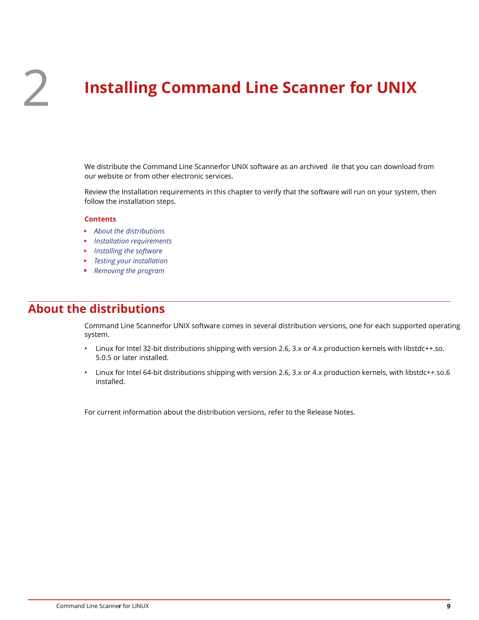# <span id="page-8-0"></span>2 **Installing Command Line Scanner for UNIX**

We distribute the Command Line Scannerfor UNIX software as an archived ile that you can download from our website or from other electronic services.

Review the Installation requirements in this chapter to verify that the software will run on your system, then follow the installation steps.

### **Contents**

- *About the distributions*
- *[Installation requirements](#page-9-0)*
- *P* [Installing the software](#page-9-0)
- *[Testing your installation](#page-11-0)*
- *[Removing the program](#page-12-0)*

# **About the distributions**

Command Line Scannerfor UNIX software comes in several distribution versions, one for each supported operating system.

- Linux for Intel 32-bit distributions shipping with version 2.6, 3.x or 4.x production kernels with libstdc++.so. 5.0.5 or later installed.
- Linux for Intel 64-bit distributions shipping with version 2.6, 3.x or 4.x production kernels, with libstdc++.so.6 installed.

For current information about the distribution versions, refer to the Release Notes.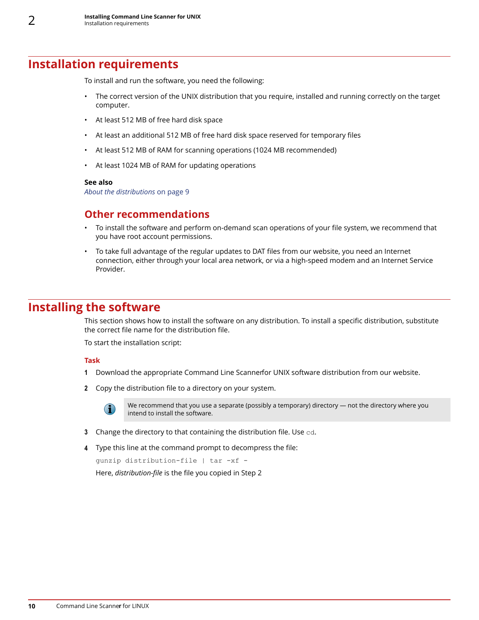# <span id="page-9-0"></span>**Installation requirements**

To install and run the software, you need the following:

- The correct version of the UNIX distribution that you require, installed and running correctly on the target computer.
- At least 512 MB of free hard disk space
- At least an additional 512 MB of free hard disk space reserved for temporary files
- At least 512 MB of RAM for scanning operations (1024 MB recommended)
- At least 1024 MB of RAM for updating operations

### **See also**

*[About the distributions](#page-8-0)* on page 9

### **Other recommendations**

- To install the software and perform on-demand scan operations of your file system, we recommend that you have root account permissions.
- To take full advantage of the regular updates to DAT files from our website, you need an Internet connection, either through your local area network, or via a high-speed modem and an Internet Service Provider.

# **Installing the software**

This section shows how to install the software on any distribution. To install a specific distribution, substitute the correct file name for the distribution file.

To start the installation script:

### **Task**

- **1** Download the appropriate Command Line Scannerfor UNIX software distribution from our website.
- **2** Copy the distribution file to a directory on your system.



We recommend that you use a separate (possibly a temporary) directory — not the directory where you intend to install the software.

- **3** Change the directory to that containing the distribution file. Use cd.
- **4** Type this line at the command prompt to decompress the file:

```
gunzip distribution-file | tar -xf -
```
Here, *distribution-file* is the file you copied in Step 2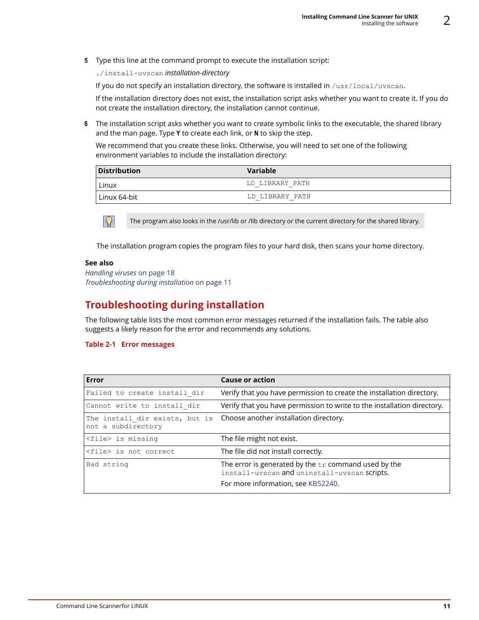<span id="page-10-0"></span>**5** Type this line at the command prompt to execute the installation script:

./install-uvscan *installation-directory*

If you do not specify an installation directory, the software is installed in /usr/local/uvscan.

If the installation directory does not exist, the installation script asks whether you want to create it. If you do not create the installation directory, the installation cannot continue.

**6** The installation script asks whether you want to create symbolic links to the executable, the shared library and the man page. Type **Y** to create each link, or **N** to skip the step.

We recommend that you create these links. Otherwise, you will need to set one of the following environment variables to include the installation directory:

| <b>Distribution</b> | Variable        |
|---------------------|-----------------|
| Linux               | LD LIBRARY PATH |
| Linux 64-bit        | LD LIBRARY PATH |

 $|\Omega|$ 

The program also looks in the /usr/lib or /lib directory or the current directory for the shared library.

The installation program copies the program files to your hard disk, then scans your home directory.

### **See also**

*[Handling viruses](#page-17-0)* on page 18 *Troubleshooting during installation* on page 11

# **Troubleshooting during installation**

The following table lists the most common error messages returned if the installation fails. The table also suggests a likely reason for the error and recommends any solutions.

### **Table 2-1 Error messages**

| Error                                                                                       | <b>Cause or action</b>                                                                                 |
|---------------------------------------------------------------------------------------------|--------------------------------------------------------------------------------------------------------|
| Failed to create install dir                                                                | Verify that you have permission to create the installation directory.                                  |
| Cannot write to install dir                                                                 | Verify that you have permission to write to the installation directory.                                |
| The install dir exists, but is Choose another installation directory.<br>not a subdirectory |                                                                                                        |
| <file> is missing</file>                                                                    | The file might not exist.                                                                              |
| <file> is not correct</file>                                                                | The file did not install correctly.                                                                    |
| Bad string                                                                                  | The error is generated by the $tr$ command used by the<br>install-uvscan and uninstall-uvscan scripts. |
|                                                                                             | For more information, see KB52240.                                                                     |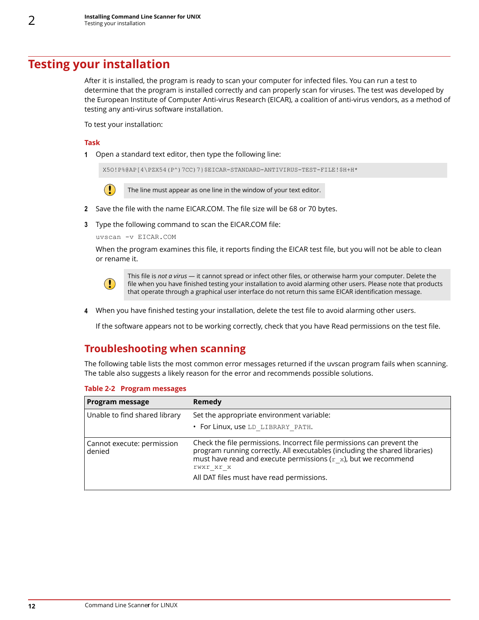# **Testing your installation**

<span id="page-11-0"></span>2

After it is installed, the program is ready to scan your computer for infected files. You can run a test to determine that the program is installed correctly and can properly scan for viruses. The test was developed by the European Institute of Computer Anti-virus Research (EICAR), a coalition of anti-virus vendors, as a method of testing any anti-virus software installation.

To test your installation:

### **Task**

**1** Open a standard text editor, then type the following line:

X5O!P%@AP[4\PZX54(P^)7CC)7}\$EICAR-STANDARD-ANTIVIRUS-TEST-FILE!\$H+H\*



The line must appear as one line in the window of your text editor.

- **2** Save the file with the name EICAR.COM. The file size will be 68 or 70 bytes.
- **3** Type the following command to scan the EICAR.COM file:

```
uvscan -v EICAR.COM
```
When the program examines this file, it reports finding the EICAR test file, but you will not be able to clean or rename it.



This file is *not a virus* — it cannot spread or infect other files, or otherwise harm your computer. Delete the file when you have finished testing your installation to avoid alarming other users. Please note that products that operate through a graphical user interface do not return this same EICAR identification message.

**4** When you have finished testing your installation, delete the test file to avoid alarming other users.

If the software appears not to be working correctly, check that you have Read permissions on the test file.

# **Troubleshooting when scanning**

The following table lists the most common error messages returned if the uvscan program fails when scanning. The table also suggests a likely reason for the error and recommends possible solutions.

| Program message                      | Remedy                                                                                                                                                                                                                                                                                 |
|--------------------------------------|----------------------------------------------------------------------------------------------------------------------------------------------------------------------------------------------------------------------------------------------------------------------------------------|
| Unable to find shared library        | Set the appropriate environment variable:                                                                                                                                                                                                                                              |
|                                      | • For Linux, use LD LIBRARY PATH.                                                                                                                                                                                                                                                      |
| Cannot execute: permission<br>denied | Check the file permissions. Incorrect file permissions can prevent the<br>program running correctly. All executables (including the shared libraries)<br>must have read and execute permissions $(x \ x)$ , but we recommend<br>YWXY XY X<br>All DAT files must have read permissions. |

**Table 2-2 Program messages**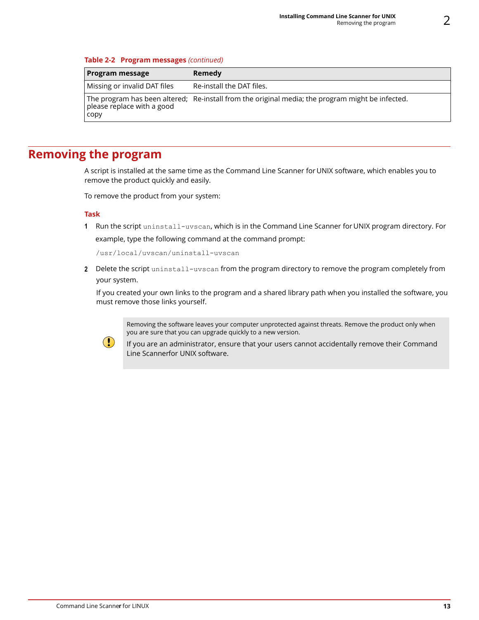### <span id="page-12-0"></span>**Table 2-2 Program messages** *(continued)*

| Program message                    | Remedy                                                                                           |
|------------------------------------|--------------------------------------------------------------------------------------------------|
| Missing or invalid DAT files       | Re-install the DAT files.                                                                        |
| please replace with a good<br>copy | The program has been altered; Re-install from the original media; the program might be infected. |

# **Removing the program**

A script is installed at the same time as the Command Line Scanner for UNIX software, which enables you to remove the product quickly and easily.

To remove the product from your system:

### **Task**

**1** Run the script uninstall-uvscan, which is in the Command Line Scanner for UNIX program directory. For

example, type the following command at the command prompt:

/usr/local/uvscan/uninstall-uvscan

**2** Delete the script uninstall-uvscan from the program directory to remove the program completely from your system.

If you created your own links to the program and a shared library path when you installed the software, you must remove those links yourself.

Removing the software leaves your computer unprotected against threats. Remove the product only when you are sure that you can upgrade quickly to a new version.



If you are an administrator, ensure that your users cannot accidentally remove their Command Line Scannerfor UNIX software.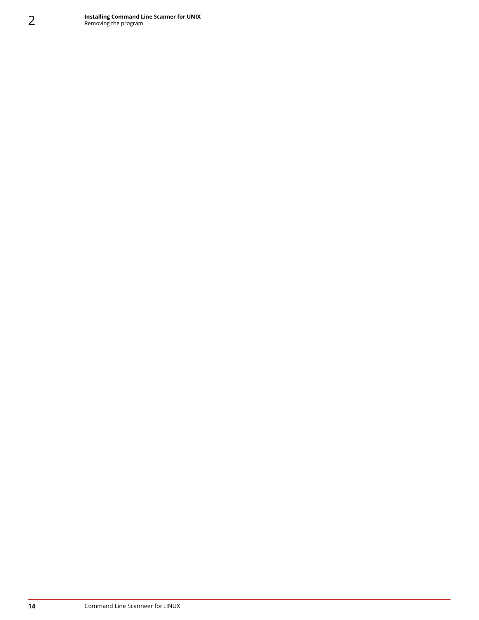**Installing Command Line Scanner for UNIX** Removing the program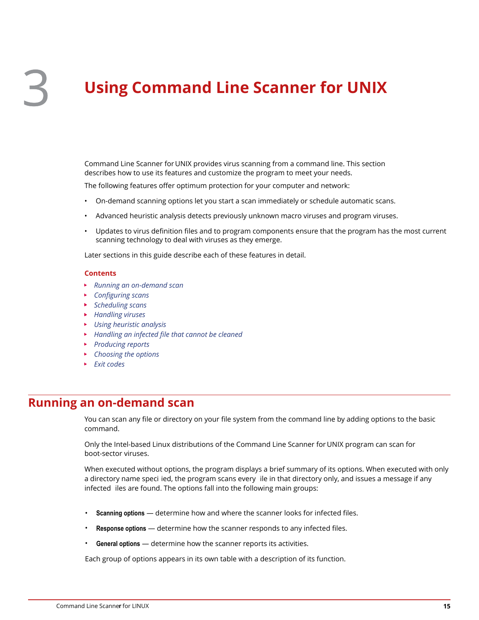# <span id="page-14-0"></span>3 **Using Command Line Scanner for UNIX**

Command Line Scanner for UNIX provides virus scanning from a command line. This section describes how to use its features and customize the program to meet your needs.

The following features offer optimum protection for your computer and network:

- On-demand scanning options let you start a scan immediately or schedule automatic scans.
- Advanced heuristic analysis detects previously unknown macro viruses and program viruses.
- Updates to virus definition files and to program components ensure that the program has the most current scanning technology to deal with viruses as they emerge.

Later sections in this guide describe each of these features in detail.

### **Contents**

- *Running an on-demand scan*
- *Configuring scans*
- *[Scheduling scans](#page-17-0)*
- *[Handling viruses](#page-17-0)*
- *[Using heuristic analysis](#page-18-0)*
- *P* Handling an infected file that cannot be cleaned
- *[Producing reports](#page-19-0)*
- *[Choosing the options](#page-20-0)*
- *[Exit codes](#page-28-0)*

# **Running an on-demand scan**

You can scan any file or directory on your file system from the command line by adding options to the basic command.

Only the Intel-based Linux distributions of the Command Line Scanner for UNIX program can scan for boot-sector viruses.

When executed without options, the program displays a brief summary of its options. When executed with only a directory name speci ied, the program scans every ile in that directory only, and issues a message if any infected iles are found. The options fall into the following main groups:

- Scanning options determine how and where the scanner looks for infected files.
- **Response options** determine how the scanner responds to any infected files.
- **General options** determine how the scanner reports its activities.

Each group of options appears in its own table with a description of its function.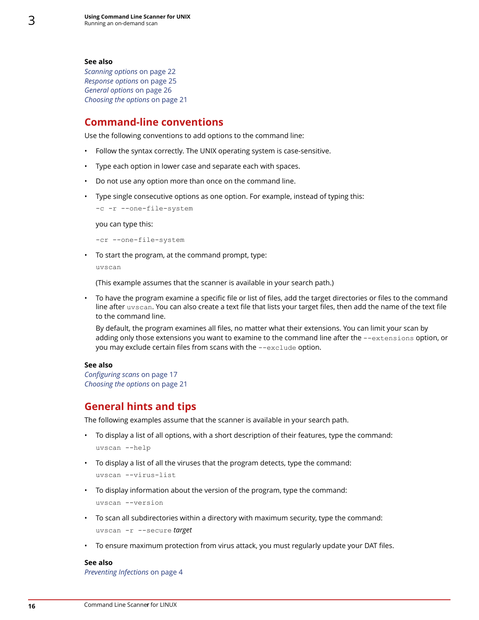### <span id="page-15-0"></span>**See also**

*[Scanning options](#page-21-0)* on page 22 *[Response options](#page-24-0)* on page 25 *[General options](#page-25-0)* on page 26 *[Choosing the options](#page-20-0)* on page 21

### **Command-line conventions**

Use the following conventions to add options to the command line:

- Follow the syntax correctly. The UNIX operating system is case-sensitive.
- Type each option in lower case and separate each with spaces.
- Do not use any option more than once on the command line.
- Type single consecutive options as one option. For example, instead of typing this:

```
-c -r --one-file-system
```
you can type this:

-cr --one-file-system

• To start the program, at the command prompt, type:

uvscan

(This example assumes that the scanner is available in your search path.)

• To have the program examine a specific file or list of files, add the target directories or files to the command line after uvscan. You can also create a text file that lists your target files, then add the name of the text file to the command line.

By default, the program examines all files, no matter what their extensions. You can limit your scan by adding only those extensions you want to examine to the command line after the --extensions option, or you may exclude certain files from scans with the --exclude option.

### **See also**

**Configuring scans on page 17** *[Choosing the options](#page-20-0)* on page 21

# **General hints and tips**

The following examples assume that the scanner is available in your search path.

- To display a list of all options, with a short description of their features, type the command: uvscan --help
- To display a list of all the viruses that the program detects, type the command: uvscan --virus-list
- To display information about the version of the program, type the command: uvscan --version
- To scan all subdirectories within a directory with maximum security, type the command: uvscan -r --secure *target*
- To ensure maximum protection from virus attack, you must regularly update your DAT files.

### **See also**

*[Preventing Infections](#page-3-0)* on page 4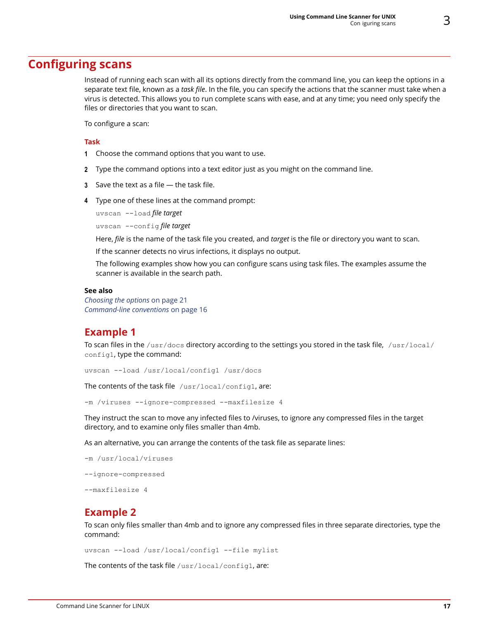# <span id="page-16-0"></span>**Configuring scans**

Instead of running each scan with all its options directly from the command line, you can keep the options in a separate text file, known as a *task file*. In the file, you can specify the actions that the scanner must take when a virus is detected. This allows you to run complete scans with ease, and at any time; you need only specify the files or directories that you want to scan.

To configure a scan:

### **Task**

- **1** Choose the command options that you want to use.
- **2** Type the command options into a text editor just as you might on the command line.
- **3** Save the text as a file the task file.
- **4** Type one of these lines at the command prompt:

uvscan --load *file target* 

uvscan --config *file target* 

Here, *file* is the name of the task file you created, and *target* is the file or directory you want to scan.

If the scanner detects no virus infections, it displays no output.

The following examples show how you can configure scans using task files. The examples assume the scanner is available in the search path.

### **See also**

*[Choosing the options](#page-20-0)* on page 21 *[Command-line conventions](#page-15-0)* on page 16

# **Example 1**

To scan files in the /usr/docs directory according to the settings you stored in the task file, /usr/local/ config1, type the command:

uvscan --load /usr/local/config1 /usr/docs

The contents of the task file  $/usr/local/config1$ , are:

-m /viruses --ignore-compressed --maxfilesize 4

They instruct the scan to move any infected files to /viruses, to ignore any compressed files in the target directory, and to examine only files smaller than 4mb.

As an alternative, you can arrange the contents of the task file as separate lines:

```
-m /usr/local/viruses
```
--ignore-compressed

--maxfilesize 4

# **Example 2**

To scan only files smaller than 4mb and to ignore any compressed files in three separate directories, type the command:

```
uvscan --load /usr/local/config1 --file mylist
```
The contents of the task file  $/usr/local/confiq1$ , are: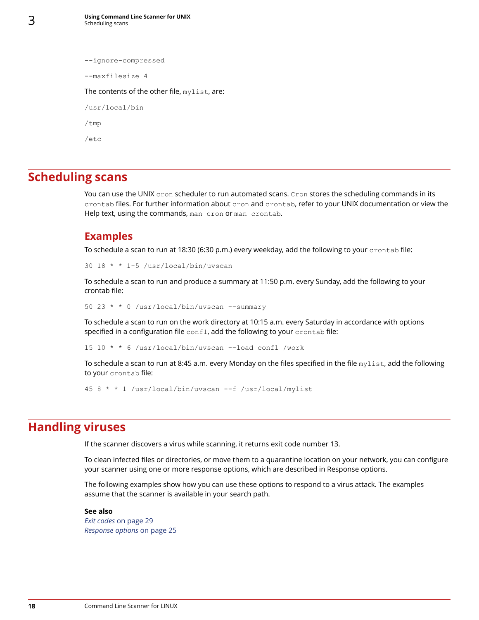```
--ignore-compressed
--maxfilesize 4
The contents of the other file, mylist, are:
/usr/local/bin
/tmp
/etc
```
# **Scheduling scans**

You can use the UNIX cron scheduler to run automated scans. Cron stores the scheduling commands in its crontab files. For further information about cron and crontab, refer to your UNIX documentation or view the Help text, using the commands, man cron or man crontab.

### **Examples**

To schedule a scan to run at 18:30 (6:30 p.m.) every weekday, add the following to your crontab file:

```
30 18 * * 1-5 /usr/local/bin/uvscan
```
To schedule a scan to run and produce a summary at 11:50 p.m. every Sunday, add the following to your crontab file:

```
50 23 * * 0 /usr/local/bin/uvscan --summary
```
To schedule a scan to run on the work directory at 10:15 a.m. every Saturday in accordance with options specified in a configuration file conf1, add the following to your crontab file:

15 10 \* \* 6 /usr/local/bin/uvscan --load conf1 /work

To schedule a scan to run at 8:45 a.m. every Monday on the files specified in the file mylist, add the following to your crontab file:

45 8 \* \* 1 /usr/local/bin/uvscan --f /usr/local/mylist

# **Handling viruses**

If the scanner discovers a virus while scanning, it returns exit code number 13.

To clean infected files or directories, or move them to a quarantine location on your network, you can configure your scanner using one or more response options, which are described in Response options.

The following examples show how you can use these options to respond to a virus attack. The examples assume that the scanner is available in your search path.

### **See also**

*Exit codes* [on page 29](#page-28-0) *[Response options](#page-24-0)* on page 25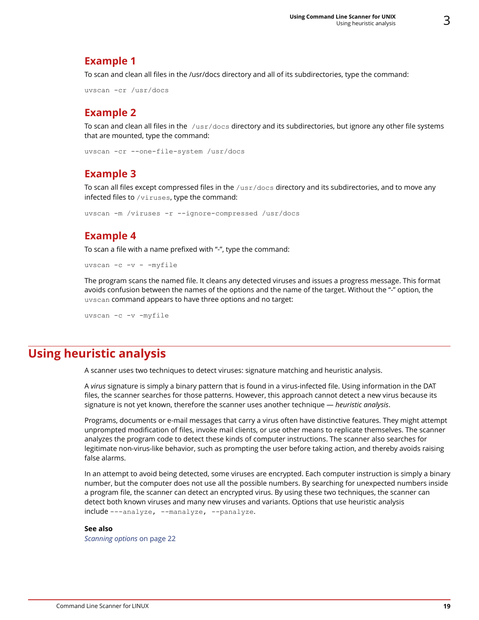# <span id="page-18-0"></span>**Example 1**

To scan and clean all files in the /usr/docs directory and all of its subdirectories, type the command:

uvscan -cr /usr/docs

# **Example 2**

To scan and clean all files in the  $/$ usr $/$ docs directory and its subdirectories, but ignore any other file systems that are mounted, type the command:

uvscan -cr --one-file-system /usr/docs

# **Example 3**

To scan all files except compressed files in the  $/usr/docs$  directory and its subdirectories, and to move any infected files to  $\sqrt{v}$ iruses, type the command:

uvscan -m /viruses -r --ignore-compressed /usr/docs

# **Example 4**

To scan a file with a name prefixed with "-", type the command:

uvscan -c -v - -myfile

The program scans the named file. It cleans any detected viruses and issues a progress message. This format avoids confusion between the names of the options and the name of the target. Without the "-" option, the uvscan command appears to have three options and no target:

uvscan -c -v -myfile

# **Using heuristic analysis**

A scanner uses two techniques to detect viruses: signature matching and heuristic analysis.

A *virus* signature is simply a binary pattern that is found in a virus-infected ȴle. Using information in the DAT files, the scanner searches for those patterns. However, this approach cannot detect a new virus because its signature is not yet known, therefore the scanner uses another technique — *heuristic analysis*.

Programs, documents or e-mail messages that carry a virus often have distinctive features. They might attempt unprompted modification of files, invoke mail clients, or use other means to replicate themselves. The scanner analyzes the program code to detect these kinds of computer instructions. The scanner also searches for legitimate non-virus-like behavior, such as prompting the user before taking action, and thereby avoids raising false alarms.

In an attempt to avoid being detected, some viruses are encrypted. Each computer instruction is simply a binary number, but the computer does not use all the possible numbers. By searching for unexpected numbers inside a program file, the scanner can detect an encrypted virus. By using these two techniques, the scanner can detect both known viruses and many new viruses and variants. Options that use heuristic analysis include ---analyze, --manalyze, --panalyze.

#### **See also**

*[Scanning options](#page-21-0)* on page 22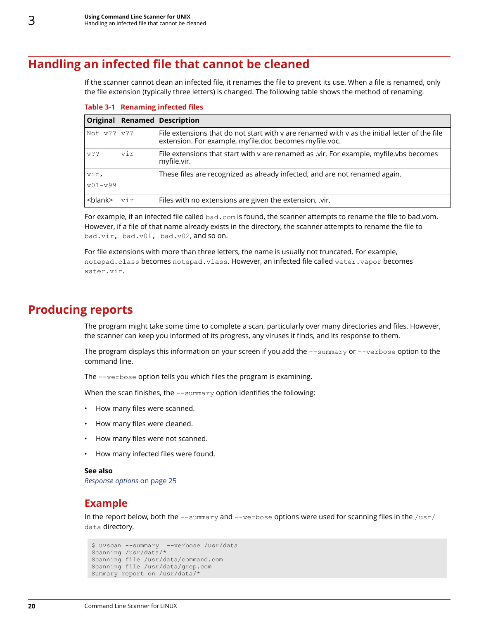# <span id="page-19-0"></span>**Handling an infected file that cannot be cleaned**

If the scanner cannot clean an infected file, it renames the file to prevent its use. When a file is renamed, only the file extension (typically three letters) is changed. The following table shows the method of renaming.

|             |     | <b>Original Renamed Description</b>                                                                                                                     |
|-------------|-----|---------------------------------------------------------------------------------------------------------------------------------------------------------|
| Not v?? v?? |     | File extensions that do not start with y are renamed with y as the initial letter of the file<br>extension. For example, myfile.doc becomes myfile.voc. |
| V??         | vir | File extensions that start with v are renamed as .vir. For example, myfile.vbs becomes<br>myfile.vir.                                                   |
| vir,        |     | These files are recognized as already infected, and are not renamed again.                                                                              |
| $v(01-v99)$ |     |                                                                                                                                                         |
| $h$         | vir | Files with no extensions are given the extension, .vir.                                                                                                 |

### **Table 3-1 Renaming infected files**

For example, if an infected file called bad.com is found, the scanner attempts to rename the file to bad.vom. However, if a file of that name already exists in the directory, the scanner attempts to rename the file to bad.vir, bad.v01, bad.v02, and so on.

For file extensions with more than three letters, the name is usually not truncated. For example, notepad.class becomes notepad.vlass. However, an infected file called water.vapor becomes water.vir.

# **Producing reports**

The program might take some time to complete a scan, particularly over many directories and files. However, the scanner can keep you informed of its progress, any viruses it finds, and its response to them.

The program displays this information on your screen if you add the --summary or --verbose option to the command line.

The  $-\text{vertices}$  option tells you which files the program is examining.

When the scan finishes, the  $-$ -summary option identifies the following:

- How many files were scanned.
- How many files were cleaned.
- How many files were not scanned.
- How many infected files were found.

### **See also**

*[Response options](#page-24-0)* on page 25

# **Example**

In the report below, both the  $--$ summary and  $--$ verbose options were used for scanning files in the /usr/ data directory.

```
$ uvscan --summary --verbose /usr/data
Scanning /usr/data/*
Scanning file /usr/data/command.com
Scanning file /usr/data/grep.com
Summary report on /usr/data/*
```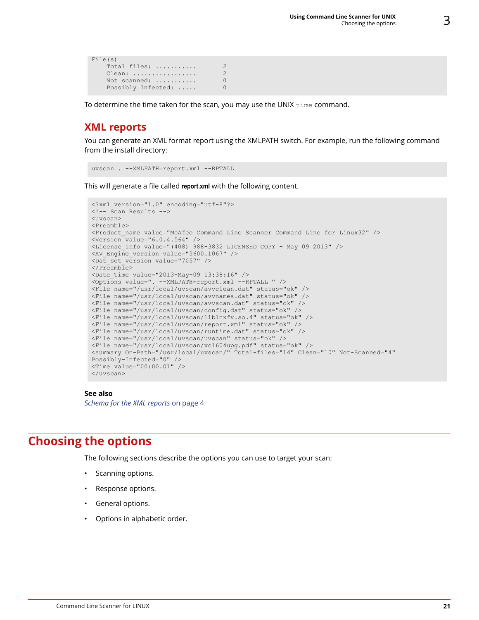```
File(s)
   Total files: ........... 2
   Clean: ................. 2
   Not scanned: ........... 0
   Possibly Infected: .....
```
To determine the time taken for the scan, you may use the UNIX  $\tt time$  command.

# **XML reports**

You can generate an XML format report using the XMLPATH switch. For example, run the following command from the install directory:

```
uvscan . --XMLPATH=report.xml --RPTALL
```
This will generate a file called **report.xml** with the following content.

```
<?xml version="1.0" encoding="utf-8"?>
<!-- Scan Results -->
<uvscan>
<Preamble>
<Product_name value="McAfee Command Line Scanner Command Line for Linux32" />
<Version value="6.0.4.564" />
<License_info value="(408) 988-3832 LICENSED COPY - May 09 2013" />
<AV_Engine_version value="5600.1067" />
<Dat_set_version value="7057" />
</Preamble>
<Date_Time value="2013-May-09 13:38:16" />
<Options value=". --XMLPATH=report.xml --RPTALL " />
<File name="/usr/local/uvscan/avvclean.dat" status="ok" />
<File name="/usr/local/uvscan/avvnames.dat" status="ok" />
<File name="/usr/local/uvscan/avvscan.dat" status="ok" />
<File name="/usr/local/uvscan/config.dat" status="ok" />
<File name="/usr/local/uvscan/liblnxfv.so.4" status="ok" />
<File name="/usr/local/uvscan/report.xml" status="ok" />
<File name="/usr/local/uvscan/runtime.dat" status="ok" />
<File name="/usr/local/uvscan/uvscan" status="ok" />
<File name="/usr/local/uvscan/vcl604upg.pdf" status="ok" />
<summary On-Path="/usr/local/uvscan/" Total-files="14" Clean="10" Not-Scanned="4"
Possibly-Infected="0" />
<Time value="00:00.01" />
</uvscan>
```
### **See also**

*[Schema for the XML reports](#page-3-0)* on page 4

# **Choosing the options**

The following sections describe the options you can use to target your scan:

- Scanning options.
- Response options.
- General options.
- Options in alphabetic order.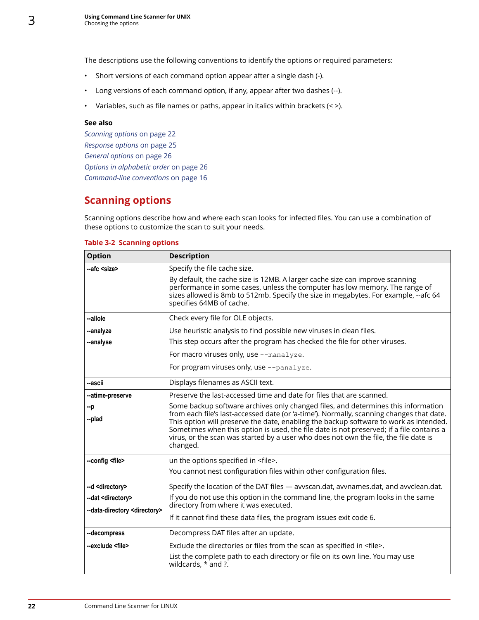<span id="page-21-0"></span>The descriptions use the following conventions to identify the options or required parameters:

- Short versions of each command option appear after a single dash (-).
- Long versions of each command option, if any, appear after two dashes (--).
- Variables, such as file names or paths, appear in italics within brackets  $\left\langle \cdot \right\rangle$ .

### **See also**

*Scanning options* on page 22 *[Response options](#page-24-0)* on page 25 *[General options](#page-25-0)* on page 26 *[Options in alphabetic order](#page-25-0)* on page 26 *[Command-line conventions](#page-15-0)* on page 16

# **Scanning options**

Scanning options describe how and where each scan looks for infected files. You can use a combination of these options to customize the scan to suit your needs.

### **Table 3-2 Scanning options**

| <b>Option</b>                            | <b>Description</b>                                                                                                                                                                                                                                                                                                                                                                                                                                                     |
|------------------------------------------|------------------------------------------------------------------------------------------------------------------------------------------------------------------------------------------------------------------------------------------------------------------------------------------------------------------------------------------------------------------------------------------------------------------------------------------------------------------------|
| --afc <size></size>                      | Specify the file cache size.                                                                                                                                                                                                                                                                                                                                                                                                                                           |
|                                          | By default, the cache size is 12MB. A larger cache size can improve scanning<br>performance in some cases, unless the computer has low memory. The range of<br>sizes allowed is 8mb to 512mb. Specify the size in megabytes. For example, --afc 64<br>specifies 64MB of cache.                                                                                                                                                                                         |
| --allole                                 | Check every file for OLE objects.                                                                                                                                                                                                                                                                                                                                                                                                                                      |
| --analyze                                | Use heuristic analysis to find possible new viruses in clean files.                                                                                                                                                                                                                                                                                                                                                                                                    |
| --analyse                                | This step occurs after the program has checked the file for other viruses.                                                                                                                                                                                                                                                                                                                                                                                             |
|                                          | For macro viruses only, use --manalyze.                                                                                                                                                                                                                                                                                                                                                                                                                                |
|                                          | For program viruses only, use --panalyze.                                                                                                                                                                                                                                                                                                                                                                                                                              |
| --ascii                                  | Displays filenames as ASCII text.                                                                                                                                                                                                                                                                                                                                                                                                                                      |
| --atime-preserve                         | Preserve the last-accessed time and date for files that are scanned.                                                                                                                                                                                                                                                                                                                                                                                                   |
| --p<br>--plad                            | Some backup software archives only changed files, and determines this information<br>from each file's last-accessed date (or 'a-time'). Normally, scanning changes that date.<br>This option will preserve the date, enabling the backup software to work as intended.<br>Sometimes when this option is used, the file date is not preserved; if a file contains a<br>virus, or the scan was started by a user who does not own the file, the file date is<br>changed. |
| --config <file></file>                   | un the options specified in <file>.</file>                                                                                                                                                                                                                                                                                                                                                                                                                             |
|                                          | You cannot nest configuration files within other configuration files.                                                                                                                                                                                                                                                                                                                                                                                                  |
| --d <directory></directory>              | Specify the location of the DAT files - avvscan.dat, avvnames.dat, and avvclean.dat.                                                                                                                                                                                                                                                                                                                                                                                   |
| --dat <directory></directory>            | If you do not use this option in the command line, the program looks in the same                                                                                                                                                                                                                                                                                                                                                                                       |
| --data-directory <directory></directory> | directory from where it was executed.                                                                                                                                                                                                                                                                                                                                                                                                                                  |
|                                          | If it cannot find these data files, the program issues exit code 6.                                                                                                                                                                                                                                                                                                                                                                                                    |
| --decompress                             | Decompress DAT files after an update.                                                                                                                                                                                                                                                                                                                                                                                                                                  |
| --exclude <file></file>                  | Exclude the directories or files from the scan as specified in <file>.</file>                                                                                                                                                                                                                                                                                                                                                                                          |
|                                          | List the complete path to each directory or file on its own line. You may use<br>wildcards, $*$ and ?.                                                                                                                                                                                                                                                                                                                                                                 |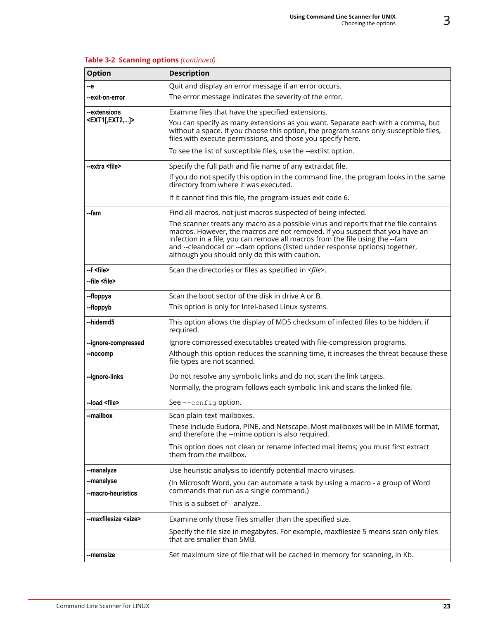### **Option Description --e --exit-on-error** Quit and display an error message if an error occurs. The error message indicates the severity of the error. **--extensions <EXT1[,EXT2,...]>** Examine files that have the specified extensions. You can specify as many extensions as you want. Separate each with a comma, but without a space. If you choose this option, the program scans only susceptible files, files with execute permissions, and those you specify here. To see the list of susceptible files, use the --extlist option. **-extra <file>** Specify the full path and file name of any extra.dat file. If you do not specify this option in the command line, the program looks in the same directory from where it was executed. If it cannot find this file, the program issues exit code 6. **--fam** Find all macros, not just macros suspected of being infected. The scanner treats any macro as a possible virus and reports that the file contains macros. However, the macros are not removed. If you suspect that you have an infection in a file, you can remove all macros from the file using the --fam and --cleandocall or --dam options (listed under response options) together, although you should only do this with caution. **--f <file> --file <file>** Scan the directories or files as specified in <file>. **--floppya --floppyb** Scan the boot sector of the disk in drive A or B. This option is only for Intel-based Linux systems. -**hidemd5** This option allows the display of MD5 checksum of infected files to be hidden, if required. **--ignore-compressed --nocomp** Ignore compressed executables created with file-compression programs. Although this option reduces the scanning time, it increases the threat because these file types are not scanned. **--ignore-links** Do not resolve any symbolic links and do not scan the link targets. Normally, the program follows each symbolic link and scans the linked file. **--load <file>** See --config option. **--mailbox** Scan plain-text mailboxes. These include Eudora, PINE, and Netscape. Most mailboxes will be in MIME format, and therefore the --mime option is also required. This option does not clean or rename infected mail items; you must first extract them from the mailbox. **--manalyze --manalyse --macro-heuristics** Use heuristic analysis to identify potential macro viruses. (In Microsoft Word, you can automate a task by using a macro - a group of Word commands that run as a single command.) This is a subset of --analyze. **-maxfilesize <size>** Examine only those files smaller than the specified size. Specify the file size in megabytes. For example, maxfilesize 5 means scan only files that are smaller than 5MB. **-memsize** Set maximum size of file that will be cached in memory for scanning, in Kb.

### **Table 3-2 Scanning options** *(continued)*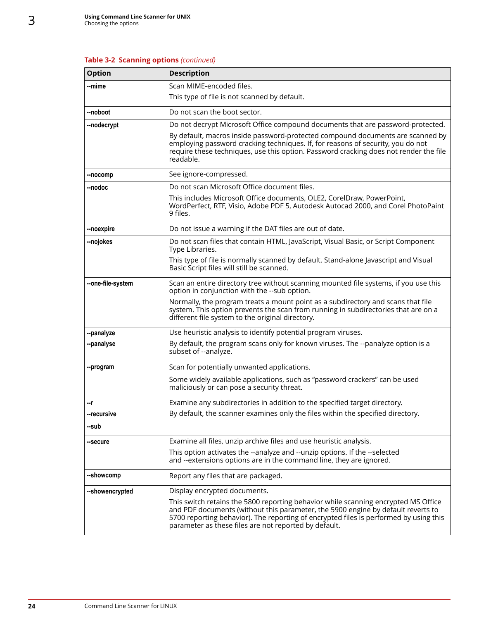### **Table 3-2 Scanning options** *(continued)*

| <b>Option</b>     | <b>Description</b>                                                                                                                                                                                                                                                                                                       |
|-------------------|--------------------------------------------------------------------------------------------------------------------------------------------------------------------------------------------------------------------------------------------------------------------------------------------------------------------------|
| --mime            | Scan MIME-encoded files.                                                                                                                                                                                                                                                                                                 |
|                   | This type of file is not scanned by default.                                                                                                                                                                                                                                                                             |
| --noboot          | Do not scan the boot sector.                                                                                                                                                                                                                                                                                             |
| --nodecrypt       | Do not decrypt Microsoft Office compound documents that are password-protected.                                                                                                                                                                                                                                          |
|                   | By default, macros inside password-protected compound documents are scanned by<br>employing password cracking techniques. If, for reasons of security, you do not<br>require these techniques, use this option. Password cracking does not render the file<br>readable.                                                  |
| --nocomp          | See ignore-compressed.                                                                                                                                                                                                                                                                                                   |
| --nodoc           | Do not scan Microsoft Office document files.                                                                                                                                                                                                                                                                             |
|                   | This includes Microsoft Office documents, OLE2, CorelDraw, PowerPoint,<br>WordPerfect, RTF, Visio, Adobe PDF 5, Autodesk Autocad 2000, and Corel PhotoPaint<br>9 files.                                                                                                                                                  |
| --noexpire        | Do not issue a warning if the DAT files are out of date.                                                                                                                                                                                                                                                                 |
| --nojokes         | Do not scan files that contain HTML, JavaScript, Visual Basic, or Script Component<br>Type Libraries.                                                                                                                                                                                                                    |
|                   | This type of file is normally scanned by default. Stand-alone Javascript and Visual<br>Basic Script files will still be scanned.                                                                                                                                                                                         |
| --one-file-system | Scan an entire directory tree without scanning mounted file systems, if you use this<br>option in conjunction with the --sub option.                                                                                                                                                                                     |
|                   | Normally, the program treats a mount point as a subdirectory and scans that file<br>system. This option prevents the scan from running in subdirectories that are on a<br>different file system to the original directory.                                                                                               |
| --panalyze        | Use heuristic analysis to identify potential program viruses.                                                                                                                                                                                                                                                            |
| --panalyse        | By default, the program scans only for known viruses. The --panalyze option is a<br>subset of --analyze.                                                                                                                                                                                                                 |
| --program         | Scan for potentially unwanted applications.                                                                                                                                                                                                                                                                              |
|                   | Some widely available applications, such as "password crackers" can be used<br>maliciously or can pose a security threat.                                                                                                                                                                                                |
| --r               | Examine any subdirectories in addition to the specified target directory.                                                                                                                                                                                                                                                |
| --recursive       | By default, the scanner examines only the files within the specified directory.                                                                                                                                                                                                                                          |
| --sub             |                                                                                                                                                                                                                                                                                                                          |
| --secure          | Examine all files, unzip archive files and use heuristic analysis.                                                                                                                                                                                                                                                       |
|                   | This option activates the --analyze and --unzip options. If the --selected<br>and --extensions options are in the command line, they are ignored.                                                                                                                                                                        |
| --showcomp        | Report any files that are packaged.                                                                                                                                                                                                                                                                                      |
| --showencrypted   | Display encrypted documents.                                                                                                                                                                                                                                                                                             |
|                   | This switch retains the 5800 reporting behavior while scanning encrypted MS Office<br>and PDF documents (without this parameter, the 5900 engine by default reverts to<br>5700 reporting behavior). The reporting of encrypted files is performed by using this<br>parameter as these files are not reported by default. |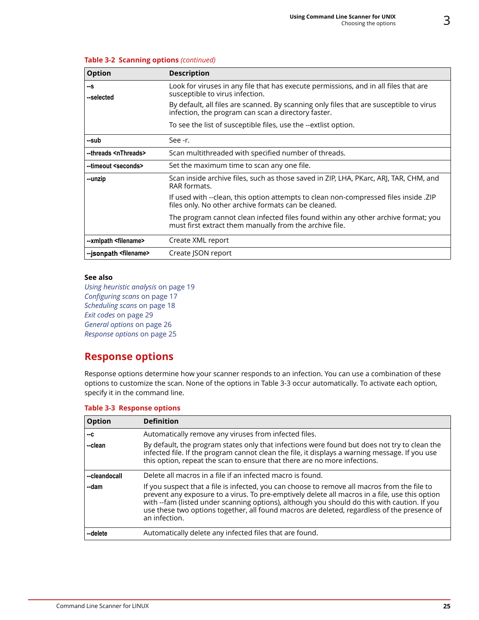| <b>Option</b>                    | <b>Description</b>                                                                                                                             |
|----------------------------------|------------------------------------------------------------------------------------------------------------------------------------------------|
| --S<br>--selected                | Look for viruses in any file that has execute permissions, and in all files that are<br>susceptible to virus infection.                        |
|                                  | By default, all files are scanned. By scanning only files that are susceptible to virus<br>infection, the program can scan a directory faster. |
|                                  | To see the list of susceptible files, use the --extlist option.                                                                                |
| --sub                            | See -r.                                                                                                                                        |
| --threads <nthreads></nthreads>  | Scan multithreaded with specified number of threads.                                                                                           |
| --timeout <seconds></seconds>    | Set the maximum time to scan any one file.                                                                                                     |
| --unzip                          | Scan inside archive files, such as those saved in ZIP, LHA, PKarc, ARJ, TAR, CHM, and<br>RAR formats.                                          |
|                                  | If used with --clean, this option attempts to clean non-compressed files inside .ZIP<br>files only. No other archive formats can be cleaned.   |
|                                  | The program cannot clean infected files found within any other archive format; you<br>must first extract them manually from the archive file.  |
| --xmlpath <filename></filename>  | Create XML report                                                                                                                              |
| --jsonpath <filename></filename> | Create (SON report)                                                                                                                            |

### <span id="page-24-0"></span>**Table 3-2 Scanning options** *(continued)*

### **See also**

*[Using heuristic analysis](#page-18-0)* on page 19 Configuring scans on page 17 *[Scheduling scans](#page-17-0)* on page 18 *[Exit codes](#page-28-0)* on page 29 *[General options](#page-25-0)* on page 26 *Response options* on page 25

# **Response options**

Response options determine how your scanner responds to an infection. You can use a combination of these options to customize the scan. None of the options in Table 3-3 occur automatically. To activate each option, specify it in the command line.

| <b>Option</b> | <b>Definition</b>                                                                                                                                                                                                                                                                                                                                                                                              |
|---------------|----------------------------------------------------------------------------------------------------------------------------------------------------------------------------------------------------------------------------------------------------------------------------------------------------------------------------------------------------------------------------------------------------------------|
| .нC           | Automatically remove any viruses from infected files.                                                                                                                                                                                                                                                                                                                                                          |
| --clean       | By default, the program states only that infections were found but does not try to clean the<br>infected file. If the program cannot clean the file, it displays a warning message. If you use<br>this option, repeat the scan to ensure that there are no more infections.                                                                                                                                    |
| --cleandocall | Delete all macros in a file if an infected macro is found.                                                                                                                                                                                                                                                                                                                                                     |
| --dam         | If you suspect that a file is infected, you can choose to remove all macros from the file to<br>prevent any exposure to a virus. To pre-emptively delete all macros in a file, use this option<br>with --fam (listed under scanning options), although you should do this with caution. If you<br>use these two options together, all found macros are deleted, regardless of the presence of<br>an infection. |
| --delete      | Automatically delete any infected files that are found.                                                                                                                                                                                                                                                                                                                                                        |

### **Table 3-3 Response options**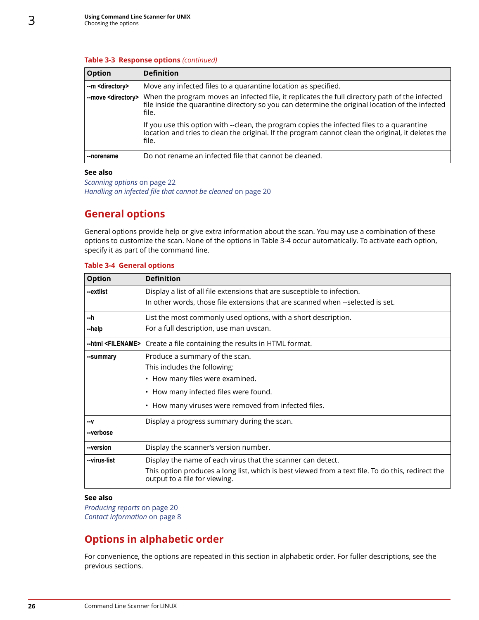### <span id="page-25-0"></span>**Table 3-3 Response options** *(continued)*

| <b>Option</b>                  | <b>Definition</b>                                                                                                                                                                                          |
|--------------------------------|------------------------------------------------------------------------------------------------------------------------------------------------------------------------------------------------------------|
| --m <directory></directory>    | Move any infected files to a quarantine location as specified.                                                                                                                                             |
| --move <directory></directory> | When the program moves an infected file, it replicates the full directory path of the infected<br>file inside the quarantine directory so you can determine the original location of the infected<br>file. |
|                                | If you use this option with --clean, the program copies the infected files to a quarantine<br>location and tries to clean the original. If the program cannot clean the original, it deletes the<br>file.  |
| --norename                     | Do not rename an infected file that cannot be cleaned.                                                                                                                                                     |

### **See also**

*[Scanning options](#page-21-0)* on page 22 *Handling an infected file that cannot be cleaned* on page 20

# **General options**

General options provide help or give extra information about the scan. You may use a combination of these options to customize the scan. None of the options in Table 3-4 occur automatically. To activate each option, specify it as part of the command line.

### **Table 3-4 General options**

| <b>Option</b> | <b>Definition</b>                                                                                                                  |
|---------------|------------------------------------------------------------------------------------------------------------------------------------|
| --extlist     | Display a list of all file extensions that are susceptible to infection.                                                           |
|               | In other words, those file extensions that are scanned when --selected is set.                                                     |
| --h           | List the most commonly used options, with a short description.                                                                     |
| --help        | For a full description, use man uvscan.                                                                                            |
|               | -- html <filename> Create a file containing the results in HTML format.</filename>                                                 |
| --summary     | Produce a summary of the scan.                                                                                                     |
|               | This includes the following:                                                                                                       |
|               | • How many files were examined.                                                                                                    |
|               | • How many infected files were found.                                                                                              |
|               | • How many viruses were removed from infected files.                                                                               |
| <b>v</b>      | Display a progress summary during the scan.                                                                                        |
| --verbose     |                                                                                                                                    |
| --version     | Display the scanner's version number.                                                                                              |
| --virus-list  | Display the name of each virus that the scanner can detect.                                                                        |
|               | This option produces a long list, which is best viewed from a text file. To do this, redirect the<br>output to a file for viewing. |

### **See also**

*[Producing reports](#page-19-0)* on page 20 *[Contact information](#page-7-0)* on page 8

# **Options in alphabetic order**

For convenience, the options are repeated in this section in alphabetic order. For fuller descriptions, see the previous sections.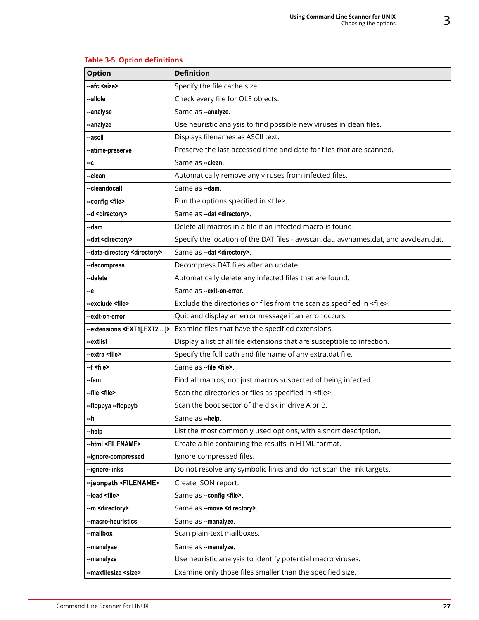| <b>Option</b>                            | <b>Definition</b>                                                                            |
|------------------------------------------|----------------------------------------------------------------------------------------------|
| --afc <size></size>                      | Specify the file cache size.                                                                 |
| --allole                                 | Check every file for OLE objects.                                                            |
| --analyse                                | Same as --analyze.                                                                           |
| --analyze                                | Use heuristic analysis to find possible new viruses in clean files.                          |
| --ascii                                  | Displays filenames as ASCII text.                                                            |
| --atime-preserve                         | Preserve the last-accessed time and date for files that are scanned.                         |
| --C                                      | Same as -- clean.                                                                            |
| --clean                                  | Automatically remove any viruses from infected files.                                        |
| --cleandocall                            | Same as -- dam.                                                                              |
| --config <file></file>                   | Run the options specified in <file>.</file>                                                  |
| --d <directory></directory>              | Same as -- dat < directory>.                                                                 |
| --dam                                    | Delete all macros in a file if an infected macro is found.                                   |
| --dat <directory></directory>            | Specify the location of the DAT files - avvscan.dat, avvnames.dat, and avvclean.dat.         |
| --data-directory <directory></directory> | Same as -- dat < directory>.                                                                 |
| --decompress                             | Decompress DAT files after an update.                                                        |
| --delete                                 | Automatically delete any infected files that are found.                                      |
| --е                                      | Same as --exit-on-error.                                                                     |
| --exclude <file></file>                  | Exclude the directories or files from the scan as specified in <file>.</file>                |
| --exit-on-error                          | Quit and display an error message if an error occurs.                                        |
|                                          | --extensions <ext1[,ext2,]> Examine files that have the specified extensions.</ext1[,ext2,]> |
| --extlist                                | Display a list of all file extensions that are susceptible to infection.                     |
| --extra <file></file>                    | Specify the full path and file name of any extra.dat file.                                   |
| --f <file></file>                        | Same as -- file < file>.                                                                     |
| --fam                                    | Find all macros, not just macros suspected of being infected.                                |
| --file <file></file>                     | Scan the directories or files as specified in <file>.</file>                                 |
| --floppya --floppyb                      | Scan the boot sector of the disk in drive A or B.                                            |
| --h                                      | Same as --help.                                                                              |
| --help                                   | List the most commonly used options, with a short description.                               |
| --html <filename></filename>             | Create a file containing the results in HTML format.                                         |
| --ignore-compressed                      | Ignore compressed files.                                                                     |
| --ignore-links                           | Do not resolve any symbolic links and do not scan the link targets.                          |
| --jsonpath <filename></filename>         | Create JSON report.                                                                          |
| --load <file></file>                     | Same as -- config <file>.</file>                                                             |
| --m <directory></directory>              | Same as -- move < directory>.                                                                |
| --macro-heuristics                       | Same as --manalyze.                                                                          |
| --mailbox                                | Scan plain-text mailboxes.                                                                   |
| --manalyse                               | Same as --manalyze.                                                                          |
| --manalyze                               | Use heuristic analysis to identify potential macro viruses.                                  |
| --maxfilesize <size></size>              | Examine only those files smaller than the specified size.                                    |

### **Table 3-5 Option definitions**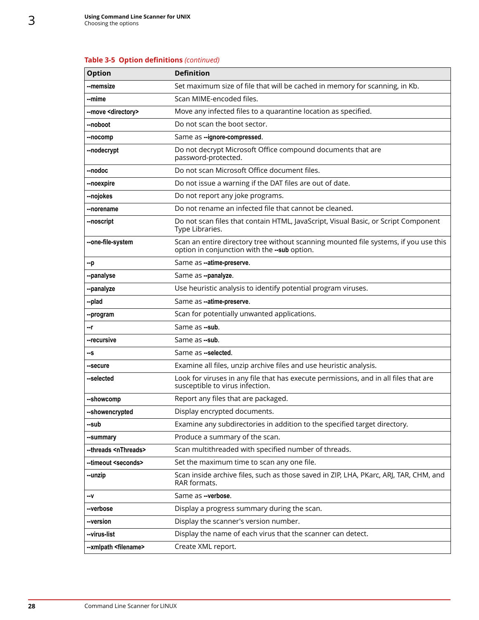### **Table 3-5 Option definitions** *(continued)*

| <b>Option</b>                   | <b>Definition</b>                                                                                                                    |
|---------------------------------|--------------------------------------------------------------------------------------------------------------------------------------|
| --memsize                       | Set maximum size of file that will be cached in memory for scanning, in Kb.                                                          |
| --mime                          | Scan MIME-encoded files.                                                                                                             |
| --move <directory></directory>  | Move any infected files to a quarantine location as specified.                                                                       |
| --noboot                        | Do not scan the boot sector.                                                                                                         |
| --nocomp                        | Same as --ignore-compressed.                                                                                                         |
| --nodecrypt                     | Do not decrypt Microsoft Office compound documents that are<br>password-protected.                                                   |
| --nodoc                         | Do not scan Microsoft Office document files.                                                                                         |
| --noexpire                      | Do not issue a warning if the DAT files are out of date.                                                                             |
| --nojokes                       | Do not report any joke programs.                                                                                                     |
| --norename                      | Do not rename an infected file that cannot be cleaned.                                                                               |
| --noscript                      | Do not scan files that contain HTML, JavaScript, Visual Basic, or Script Component<br>Type Libraries.                                |
| --one-file-system               | Scan an entire directory tree without scanning mounted file systems, if you use this<br>option in conjunction with the --sub option. |
| --p                             | Same as -- atime-preserve.                                                                                                           |
| --panalyse                      | Same as --panalyze.                                                                                                                  |
| --panalyze                      | Use heuristic analysis to identify potential program viruses.                                                                        |
| --plad                          | Same as -- atime-preserve.                                                                                                           |
| --program                       | Scan for potentially unwanted applications.                                                                                          |
| --r                             | Same as --sub.                                                                                                                       |
| --recursive                     | Same as <b>--sub</b> .                                                                                                               |
| --s                             | Same as --selected.                                                                                                                  |
| --secure                        | Examine all files, unzip archive files and use heuristic analysis.                                                                   |
| --selected                      | Look for viruses in any file that has execute permissions, and in all files that are<br>susceptible to virus infection.              |
| --showcomp                      | Report any files that are packaged.                                                                                                  |
| --showencrypted                 | Display encrypted documents.                                                                                                         |
| --sub                           | Examine any subdirectories in addition to the specified target directory.                                                            |
| --summary                       | Produce a summary of the scan.                                                                                                       |
| --threads <nthreads></nthreads> | Scan multithreaded with specified number of threads.                                                                                 |
| --timeout <seconds></seconds>   | Set the maximum time to scan any one file.                                                                                           |
| --unzip                         | Scan inside archive files, such as those saved in ZIP, LHA, PKarc, ARJ, TAR, CHM, and<br>RAR formats.                                |
| ⊷∨                              | Same as --verbose.                                                                                                                   |
| --verbose                       | Display a progress summary during the scan.                                                                                          |
| --version                       | Display the scanner's version number.                                                                                                |
| --virus-list                    | Display the name of each virus that the scanner can detect.                                                                          |
| --xmlpath <filename></filename> | Create XML report.                                                                                                                   |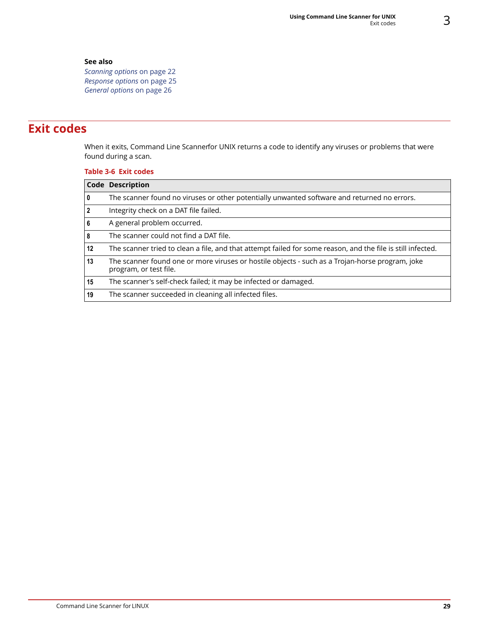### <span id="page-28-0"></span>**See also**

*[Scanning options](#page-21-0)* on page 22 *[Response options](#page-24-0)* on page 25 *[General options](#page-25-0)* on page 26

# **Exit codes**

When it exits, Command Line Scannerfor UNIX returns a code to identify any viruses or problems that were found during a scan.

| Table 3-6 Exit codes |                                                                                                                           |  |
|----------------------|---------------------------------------------------------------------------------------------------------------------------|--|
|                      | <b>Code Description</b>                                                                                                   |  |
| 0                    | The scanner found no viruses or other potentially unwanted software and returned no errors.                               |  |
| $\overline{2}$       | Integrity check on a DAT file failed.                                                                                     |  |
| 6                    | A general problem occurred.                                                                                               |  |
| 8                    | The scanner could not find a DAT file.                                                                                    |  |
| 12                   | The scanner tried to clean a file, and that attempt failed for some reason, and the file is still infected.               |  |
| 13                   | The scanner found one or more viruses or hostile objects - such as a Trojan-horse program, joke<br>program, or test file. |  |
| 15                   | The scanner's self-check failed; it may be infected or damaged.                                                           |  |
| 19                   | The scanner succeeded in cleaning all infected files.                                                                     |  |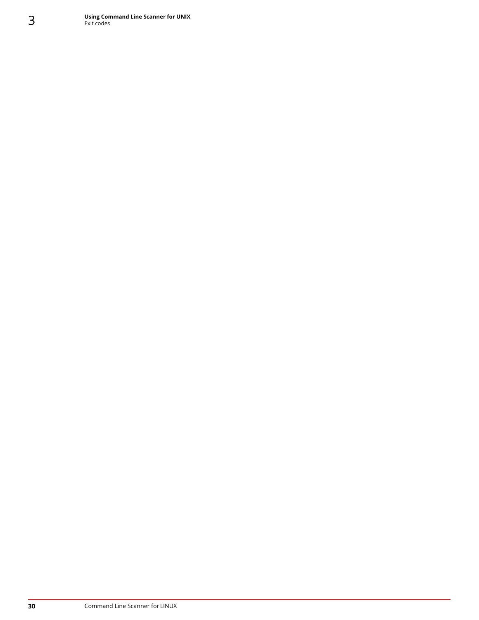**Using Command Line Scanner for UNIX** Exit codes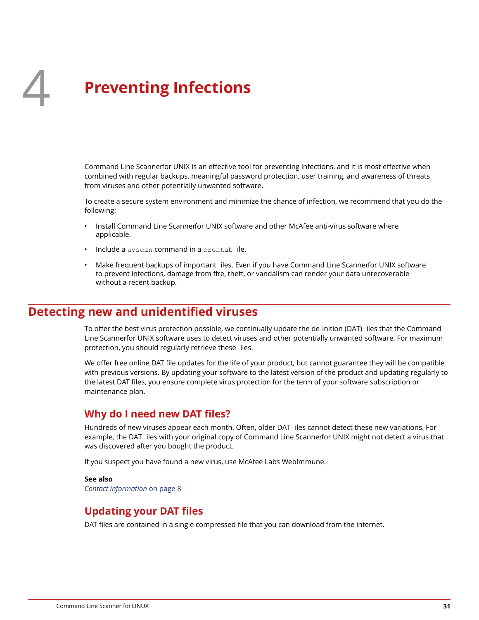# <span id="page-30-0"></span>4 **Preventing Infections**

Command Line Scannerfor UNIX is an effective tool for preventing infections, and it is most effective when combined with regular backups, meaningful password protection, user training, and awareness of threats from viruses and other potentially unwanted software.

To create a secure system environment and minimize the chance of infection, we recommend that you do the following:

- Install Command Line Scannerfor UNIX software and other McAfee anti-virus software where applicable.
- Include a uvscan command in a crontabile.
- Make frequent backups of important iles. Even if you have Command Line Scannerfor UNIX software to prevent infections, damage from ffre, theft, or vandalism can render your data unrecoverable without a recent backup.

# **Detecting new and unidentified viruses**

To offer the best virus protection possible, we continually update the de inition (DAT) iles that the Command Line Scannerfor UNIX software uses to detect viruses and other potentially unwanted software. For maximum protection, you should regularly retrieve these iles.

We offer free online DAT file updates for the life of your product, but cannot guarantee they will be compatible with previous versions. By updating your software to the latest version of the product and updating regularly to the latest DAT files, you ensure complete virus protection for the term of your software subscription or maintenance plan.

# **Why do I need new DAT files?**

Hundreds of new viruses appear each month. Often, older DAT iles cannot detect these new variations. For example, the DAT iles with your original copy of Command Line Scanner for UNIX might not detect a virus that was discovered after you bought the product.

If you suspect you have found a new virus, use McAfee Labs WebImmune.

### **See also**

*[Contact information](#page-7-0)* on page 8

# **Updating your DAT files**

DAT files are contained in a single compressed file that you can download from the internet.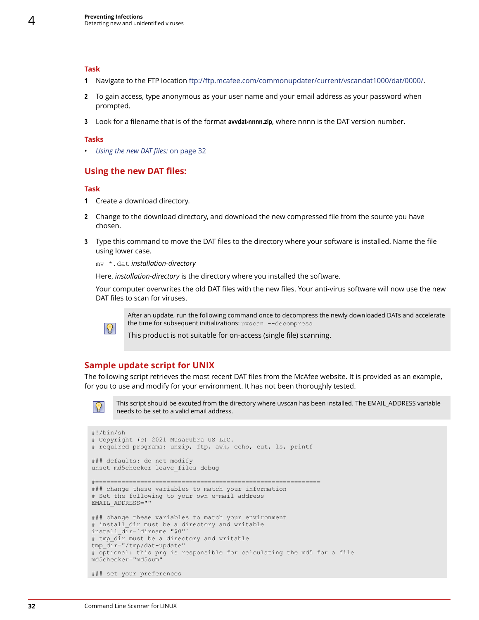### <span id="page-31-0"></span>**Task**

- **1** Navigate to the FTP location <ftp://ftp.mcafee.com/commonupdater/current/vscandat1000/dat/0000/>.
- **2** To gain access, type anonymous as your user name and your email address as your password when prompted.
- **3** Look for a filename that is of the format **avvdat-nnnn.zip**, where nnnn is the DAT version number.

### **Tasks**

• *Using the new DAT files:* on page 32

### **Using the new DAT files:**

### **Task**

- **1** Create a download directory.
- **2** Change to the download directory, and download the new compressed file from the source you have chosen.
- **3** Type this command to move the DAT files to the directory where your software is installed. Name the file using lower case.

mv \*.dat *installation-directory*

Here, *installation-directory* is the directory where you installed the software.

Your computer overwrites the old DAT files with the new files. Your anti-virus software will now use the new DAT files to scan for viruses.



After an update, run the following command once to decompress the newly downloaded DATs and accelerate the time for subsequent initializations: uvscan --decompress

This product is not suitable for on-access (single file) scanning.

### **Sample update script for UNIX**

The following script retrieves the most recent DAT files from the McAfee website. It is provided as an example, for you to use and modify for your environment. It has not been thoroughly tested.

 $|Q|$ 

This script should be excuted from the directory where uvscan has been installed. The EMAIL\_ADDRESS variable needs to be set to a valid email address.

```
#!/bin/sh
# Copyright (c) 2021 Musarubra US LLC.
# required programs: unzip, ftp, awk, echo, cut, ls, printf
### defaults: do not modify
unset md5checker leave files debug
#============================================================
### change these variables to match your information
# Set the following to your own e-mail address
EMAIL_ADDRESS=""
### change these variables to match your environment
# install dir must be a directory and writable
install dir=`dirname "$0"`
# tmp dir must be a directory and writable
tmp_dir="/tmp/dat-update"
# optional: this prg is responsible for calculating the md5 for a file
md5checker="md5sum"
```

```
### set your preferences
```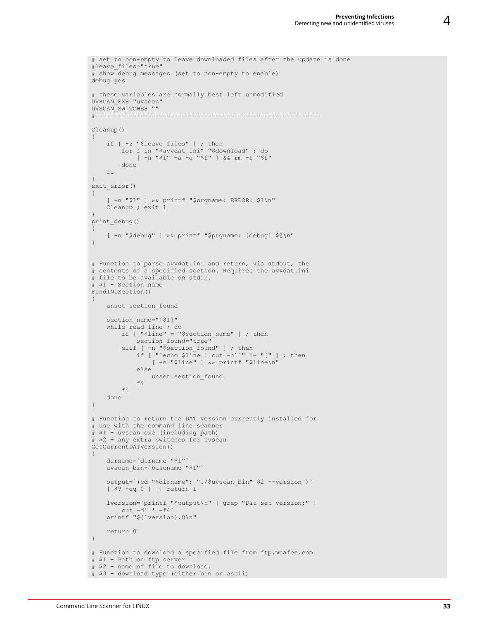```
# set to non-empty to leave downloaded files after the update is done
#leave_files="true"
# show debug messages (set to non-empty to enable)
debug=yes
# these variables are normally best left unmodified
UVSCAN_EXE="uvscan"
UVSCAN_SWITCHES=""<br>#==================
        #============================================================
Cleanup()
{
    if [ -z "$leave files" ] ; then
       for f in "$avvdat_ini" "$download" ; do
           [ -n "$f" -a -e "$f" ] && rm -f "$f"
        done
    f_i}
exit error()
{
    [ -n "$1" ] && printf "$prgname: ERROR: $1\n"
    Cleanup ; exit 1
\mathfrak{g}print_debug()
{
    [ -n "$debug" ] && printf "$prgname: [debug] $@\n"
}
# Function to parse avvdat.ini and return, via stdout, the
# contents of a specified section. Requires the avvdat.ini
# file to be available on stdin.
# $1 - Section name
FindINISection()
{
   unset section_found
    section_name="[$1]"
    while read line ; do
        if [ "$line" = "$section name" ] ; then
            section found="true"
        elif [ -n "$section_found" ] ; then
            if [ "`echo $line | cut -c1`" != "[" ] ; then
                [ -n "$line" ] && printf "$line\n"
            else
                unset section_found
            f_ifi
    done
}
# Function to return the DAT version currently installed for
# use with the command line scanner
# $1 - uvscan exe (including path)
# $2 - any extra switches for uvscan
GetCurrentDATVersion()
{
    dirname=`dirname "$1"`
   uvscan bin=`basename "$1"`
    output=`(cd "$dirname"; "./$uvscan bin" $2 --version )`
    [ $? -eq 0 ] || return 1
    lversion=`printf "$output\n" | grep "Dat set version:" |
       cut -d' ' -f4'
    printf "${lversion}.0\n"
    return 0
}
# Function to download a specified file from ftp.mcafee.com
# $1 - Path on ftp server
# $2 - name of file to download.
# $3 - download type (either bin or ascii)
```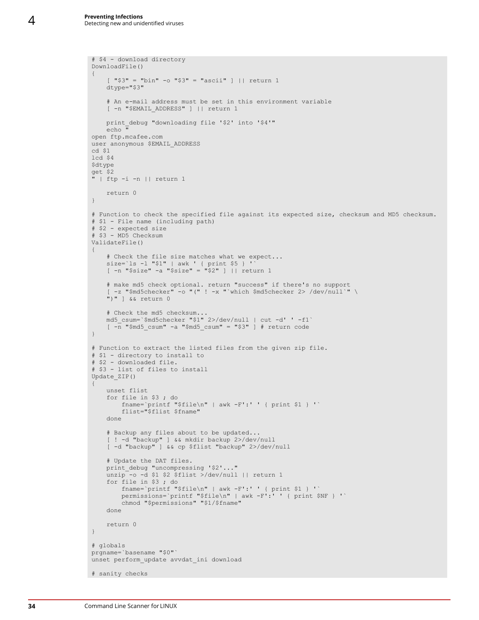4

```
# $4 - download directory
DownloadFile()
{
    [ "$3" = "bin" -o "$3" = "ascii" ] || return 1
   dtype="$3"
    # An e-mail address must be set in this environment variable
    [ -n "$EMAIL_ADDRESS" ] || return 1
    print debug "downloading file '$2' into '$4'"
    echo "
open ftp.mcafee.com
user anonymous $EMAIL_ADDRESS
cd $1
lcd $4
$dtype
get $2
" | ftp -i -n || return 1
    return 0
}
# Function to check the specified file against its expected size, checksum and MD5 checksum.
# $1 - File name (including path)
# $2 - expected size
# $3 - MD5 Checksum
ValidateFile()
{
    # Check the file size matches what we expect...
    size=`ls -l "$1" | awk ' { print $5 } '`
    [ -n "$size" -a "$size" = "$2" ] || return 1
    # make md5 check optional. return "success" if there's no support
    \lceil -z \rceil "$md5checker" -o "(" ! -x "`which $md5checker 2> /dev/null`" \
    ")" ] && return 0
    # Check the md5 checksum...
    md5 csum=`$md5checker "$1" 2>/dev/null | cut -d' ' -f1`
    [-n] "$md5 csum" -a "$md5_csum" = "$3" ] # return code
}
# Function to extract the listed files from the given zip file.
# $1 - directory to install to
# $2 - downloaded file.
# $3 - list of files to install
Update_ZIP()
{
    unset flist
    for file in $3 ; do
        fname=`printf "$file\n" | awk -F':' ' { print $1 } '`
        flist="$flist $fname"
    done
    # Backup any files about to be updated...
    [ ! -d "backup" ] && mkdir backup 2>/dev/null
    [ -d "backup" ] && cp $flist "backup" 2>/dev/null
    # Update the DAT files.
    print_debug "uncompressing '$2'..."
    unzip -o -d $1 $2 $flist >/dev/null || return 1
    for file in $3 ; do
        fname=`printf "$file\n" | awk -F':' ' { print $1 } '`
        permissions=`printf "$file\n" | awk -F':' ' { print $NF } '`
        chmod "$permissions" "$1/$fname"
    done
    return 0
}
# globals
prgname=`basename "$0"`
unset perform_update avvdat_ini download
```

```
# sanity checks
```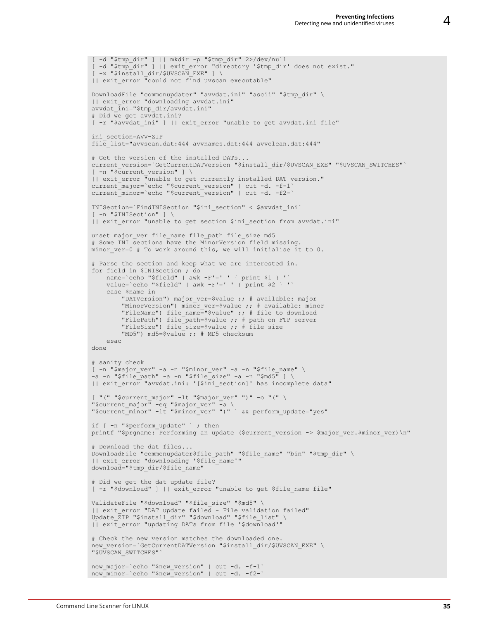```
[ -d "$tmp_dir" ] || mkdir -p "$tmp_dir" 2>/dev/null
[ -d "$tmp_dir" ] || exit error "directory '$tmp_dir' does not exist."
[-x "$install dir/$UVSCAN EXE" ] \
|| exit error "could not find uvscan executable"
DownloadFile "commonupdater" "avvdat.ini" "ascii" "$tmp_dir" \
|| exit_error "downloading avvdat.ini"
avvdat_ini="$tmp_dir/avvdat.ini"
# Did we get avvdat.ini?
[ -r "$avvdat ini" ] || exit error "unable to get avvdat.ini file"
ini_section=AVV-ZIP
file_list="avvscan.dat:444 avvnames.dat:444 avvclean.dat:444"
# Get the version of the installed DATs...
current_version=`GetCurrentDATVersion "$install_dir/$UVSCAN_EXE" "$UVSCAN_SWITCHES"`
[-n] "$current version" ] \
|| exit_error "unable to get currently installed DAT version."<br>current major=`echo "$current version" | cut -d. -f-1`
current<sup>-major=`echo</sup> "$current version"
current_major cono veurrent_version" | cut -d. -f2-
INISection=`FindINISection "$ini_section" < $avvdat_ini`
 [ -n "$INISection" ] \
|| exit_error "unable to get section $ini_section from avvdat.ini"
unset major ver file name file path file size md5
# Some INI sections have the MinorVersion field missing.
minor ver=0 # To work around this, we will initialise it to 0.
 # Parse the section and keep what we are interested in.
for field in $INISection ; do
     name=`echo "$field" | awk -F'=' ' { print $1 } '`
     value=`echo "$field" | awk -F'=' ' { print $2 } '`
    case $name in
         "DATVersion") major_ver=$value ;; # available: major
         "MinorVersion") minor ver=$value ;; # available: minor
        "FileName") file name="$value" ;; # file to download
         "FilePath") file path=$value ;; # path on FTP server
         "FileSize") file size=$value ;; # file size
        "MD5") md5=$value ;; # MD5 checksum
    esac
done
# sanity check
[ -n "$major ver" -a -n "$minor ver" -a -n "$file name" \
-a -n "$file path" -a -n "$file size" -a -n "$md5" ] \
|| exit error "avvdat.ini: '[$ini section]' has incomplete data"
[ "(" "$current_major" -lt "$major_ver" ")" -o "(" \
"$current major" -eq "$major ver" -a \
"$current minor" -lt "$minor ver" ")" ] && perform update="yes"
if [ -n "$perform update" ] ; then
printf "$prgname: Performing an update ($current version -> $major ver.$minor ver)\n"
# Download the dat files...
DownloadFile "commonupdater$file path" "$file name" "bin" "$tmp_dir" \
|| exit_error "downloading '$file_name'"
download="$tmp_dir/$file_name"
# Did we get the dat update file?
[ -r "$download" ] || exit error "unable to get $file name file"
ValidateFile "$download" "$file size" "$md5" \
|| exit_error "DAT update failed - File validation failed"
Update_ZIP "$install_dir" "$download" "$file list" \
|| exit_error "updating DATs from file '$download'"
# Check the new version matches the downloaded one.
new version=`GetCurrentDATVersion "$install dir/$UVSCAN EXE" \
"$UVSCAN SWITCHES"`
new major=`echo "$new version" | cut -d. -f-1`
new minor=`echo "$new version" | cut -d. -f2-`
```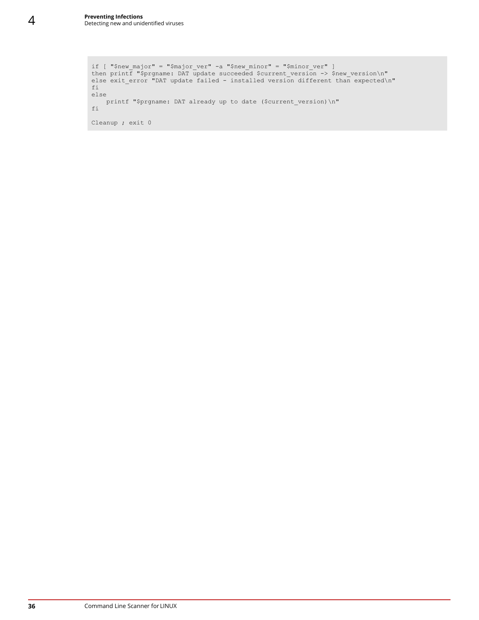```
if [ "$new major" = "$major ver" -a "$new minor" = "$minor ver" ]
then printf "$prgname: DAT update succeeded $current version -> $new version\n"
else exit error "DAT update failed - installed version different than expected\n"
fi
else
    printf "$prgname: DAT already up to date ($current_version)\n"
fi
Cleanup ; exit 0
```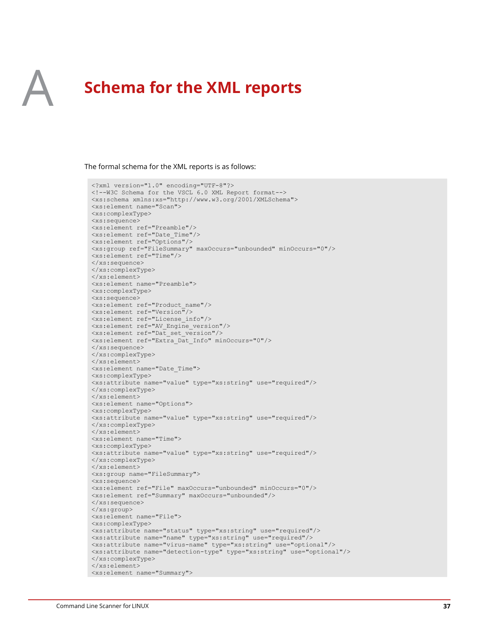# <span id="page-36-0"></span>**Schema for the XML reports**

The formal schema for the XML reports is as follows:

```
<?xml version="1.0" encoding="UTF-8"?>
<!--W3C Schema for the VSCL 6.0 XML Report format-->
<xs:schema xmlns:xs="http://www.w3.org/2001/XMLSchema">
<xs:element name="Scan">
<xs:complexType>
<xs:sequence>
<xs:element ref="Preamble"/>
<xs:element ref="Date_Time"/>
<xs:element ref="Options"/>
<xs:group ref="FileSummary" maxOccurs="unbounded" minOccurs="0"/>
<xs:element ref="Time"/>
</xs:sequence>
</xs:complexType>
</xs:element>
<xs:element name="Preamble">
<xs:complexType>
<xs:sequence>
<xs:element ref="Product_name"/>
<xs:element ref="Version"/>
<xs:element ref="License_info"/>
<xs:element ref="AV_Engine_version"/>
<xs:element ref="Dat_set_version"/>
<xs:element ref="Extra_Dat_Info" minOccurs="0"/>
</xs:sequence>
</xs:complexType>
</xs:element>
<xs:element name="Date_Time">
<xs:complexType>
<xs:attribute name="value" type="xs:string" use="required"/>
</xs:complexType>
</xs:element>
<xs:element name="Options">
<xs:complexType>
<xs:attribute name="value" type="xs:string" use="required"/>
</xs:complexType>
</xs:element>
<xs:element name="Time">
<xs:complexType>
<xs:attribute name="value" type="xs:string" use="required"/>
</xs:complexType>
</xs:element>
<xs:group name="FileSummary">
<xs:sequence>
<xs:element ref="File" maxOccurs="unbounded" minOccurs="0"/>
<xs:element ref="Summary" maxOccurs="unbounded"/>
</xs:sequence>
</xs:group>
<xs:element name="File">
<xs:complexType>
<xs:attribute name="status" type="xs:string" use="required"/>
<xs:attribute name="name" type="xs:string" use="required"/>
<xs:attribute name="virus-name" type="xs:string" use="optional"/>
<xs:attribute name="detection-type" type="xs:string" use="optional"/>
</xs:complexType>
</xs:element>
<xs:element name="Summary">
```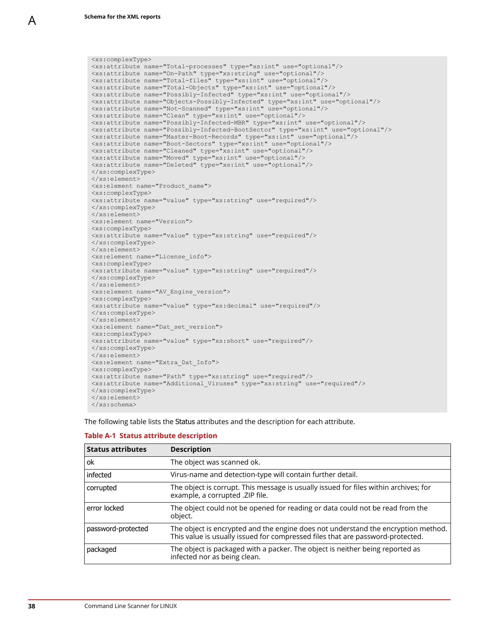A

```
<xs:complexType>
<xs:attribute name="Total-processes" type="xs:int" use="optional"/>
<xs:attribute name="On-Path" type="xs:string" use="optional"/>
<xs:attribute name="Total-files" type="xs:int" use="optional"/>
<xs:attribute name="Total-Objects" type="xs:int" use="optional"/>
<xs:attribute name="Possibly-Infected" type="xs:int" use="optional"/>
<xs:attribute name="Objects-Possibly-Infected" type="xs:int" use="optional"/>
<xs:attribute name="Not-Scanned" type="xs:int" use="optional"/>
<xs:attribute name="Clean" type="xs:int" use="optional"/>
<xs:attribute name="Possibly-Infected-MBR" type="xs:int" use="optional"/>
<xs:attribute name="Possibly-Infected-BootSector" type="xs:int" use="optional"/>
<xs:attribute name="Master-Boot-Records" type="xs:int" use="optional"/>
<xs:attribute name="Boot-Sectors" type="xs:int" use="optional"/>
<xs:attribute name="Cleaned" type="xs:int" use="optional"/>
<xs:attribute name="Moved" type="xs:int" use="optional"/>
<xs:attribute name="Deleted" type="xs:int" use="optional"/>
</xs:complexType>
</xs:element>
<xs:element name="Product_name">
<xs:complexType>
<xs:attribute name="value" type="xs:string" use="required"/>
</xs:complexType>
</xs:element>
<xs:element name="Version">
<xs:complexType>
<xs:attribute name="value" type="xs:string" use="required"/>
</xs:complexType>
</xs:element>
<xs:element name="License_info">
<xs:complexType>
<xs:attribute name="value" type="xs:string" use="required"/>
</xs:complexType>
</xs:element>
<xs:element name="AV_Engine_version">
<xs:complexType>
<xs:attribute name="value" type="xs:decimal" use="required"/>
</xs:complexType>
</xs:element>
<xs:element name="Dat_set_version">
<xs:complexType>
<xs:attribute name="value" type="xs:short" use="required"/>
</xs:complexType>
</xs:element>
<xs:element name="Extra_Dat_Info">
<xs:complexType>
<xs:attribute name="Path" type="xs:string" use="required"/>
<xs:attribute name="Additional_Viruses" type="xs:string" use="required"/>
</xs:complexType>
</xs:element>
</xs:schema>
```
The following table lists the Status attributes and the description for each attribute.

| <b>Status attributes</b> | <b>Description</b>                                                                                                                                                  |
|--------------------------|---------------------------------------------------------------------------------------------------------------------------------------------------------------------|
| оk                       | The object was scanned ok.                                                                                                                                          |
| infected                 | Virus-name and detection-type will contain further detail.                                                                                                          |
| corrupted                | The object is corrupt. This message is usually issued for files within archives; for<br>example, a corrupted .ZIP file.                                             |
| error locked             | The object could not be opened for reading or data could not be read from the<br>object.                                                                            |
| password-protected       | The object is encrypted and the engine does not understand the encryption method.<br>This value is usually issued for compressed files that are password-protected. |
| packaged                 | The object is packaged with a packer. The object is neither being reported as<br>infected nor as being clean.                                                       |

### **Table A-1 Status attribute description**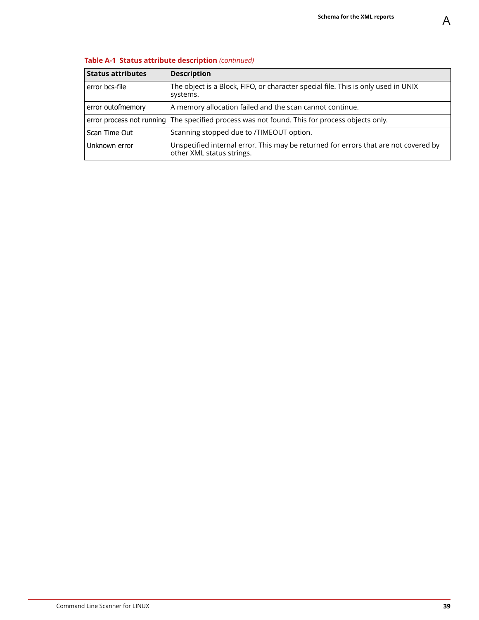### **Table A-1 Status attribute description** *(continued)*

| <b>Status attributes</b> | <b>Description</b>                                                                                               |
|--------------------------|------------------------------------------------------------------------------------------------------------------|
| error bcs-file           | The object is a Block, FIFO, or character special file. This is only used in UNIX<br>systems.                    |
| error outofmemory        | A memory allocation failed and the scan cannot continue.                                                         |
|                          | error process not running The specified process was not found. This for process objects only.                    |
| Scan Time Out            | Scanning stopped due to /TIMEOUT option.                                                                         |
| Unknown error            | Unspecified internal error. This may be returned for errors that are not covered by<br>other XML status strings. |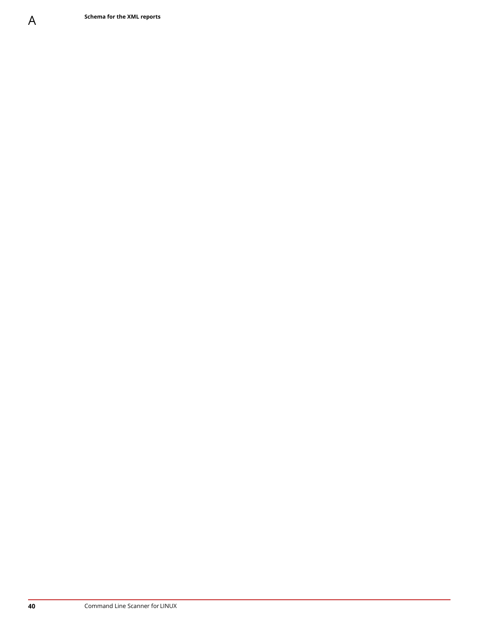**Schema for the XML reports**

A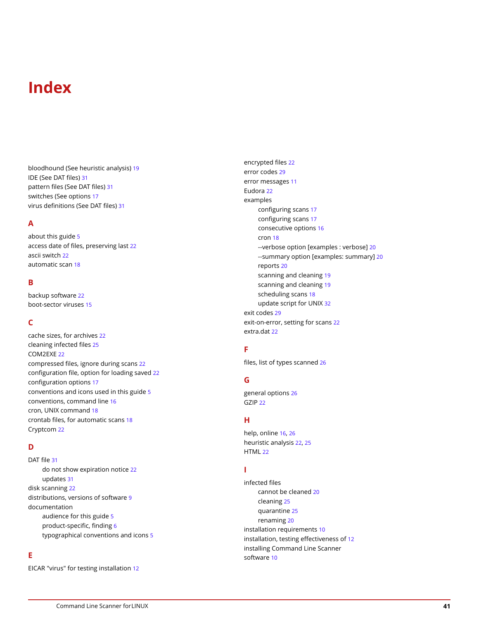# <span id="page-40-0"></span>**Index**

bloodhound (See heuristic analysis) [19](#page-18-0) IDE (See DAT files) [31](#page-30-0) pattern files (See DAT files) [31](#page-30-0) switches (See options [17](#page-16-0) virus definitions (See DAT files) [31](#page-30-0)

### **A**

about this guide [5](#page-4-0) access date of files, preserving last [22](#page-21-0) ascii switch [22](#page-21-0) automatic scan [18](#page-17-0)

### **B**

backup software [22](#page-21-0) boot-sector viruses [15](#page-14-0)

### **C**

cache sizes, for archives [22](#page-21-0) cleaning infected files [25](#page-24-0) COM2EXE [22](#page-21-0) compressed files, ignore during scans [22](#page-21-0) configuration file, option for loading saved [22](#page-21-0) configuration options [17](#page-16-0) conventions and icons used in this guide [5](#page-4-0) conventions, command line [16](#page-15-0) cron, UNIX command [18](#page-17-0) crontab files, for automatic scans [18](#page-17-0) Cryptcom [22](#page-21-0)

### **D**

DAT file [31](#page-30-0) do not show expiration notice [22](#page-21-0) updates [31](#page-30-0) disk scanning [22](#page-21-0) distributions, versions of software [9](#page-8-0) documentation audience for this guide [5](#page-4-0) product-specific, finding [6](#page-5-0) typographical conventions and icons [5](#page-4-0)

### **E**

EICAR "virus" for testing installation [12](#page-11-0)

encrypted files [22](#page-21-0) error codes [29](#page-28-0) error messages [11](#page-10-0) Eudora [22](#page-21-0) examples configuring scans [17](#page-16-0) configuring scans [17](#page-16-0) consecutive options [16](#page-15-0) cron [18](#page-17-0) --verbose option [examples : verbose] [20](#page-19-0) --summary option [examples: summary] [20](#page-19-0) reports [20](#page-19-0) scanning and cleaning [19](#page-18-0) scanning and cleaning [19](#page-18-0) scheduling scans [18](#page-17-0) update script for UNIX [32](#page-31-0) exit codes [29](#page-28-0) exit-on-error, setting for scans [22](#page-21-0) extra.dat [22](#page-21-0)

### **F**

files, list of types scanned [26](#page-25-0)

### **G**

general options [26](#page-25-0) GZIP [22](#page-21-0)

### **H**

help, online [16](#page-15-0), [26](#page-25-0) heuristic analysis [22](#page-21-0), [25](#page-24-0) HTML [22](#page-21-0)

### **I**

infected files cannot be cleaned [20](#page-19-0) cleaning [25](#page-24-0) quarantine [25](#page-24-0) renaming [20](#page-19-0) installation requirements [10](#page-9-0) installation, testing effectiveness of [12](#page-11-0) installing Command Line Scanner software [10](#page-9-0)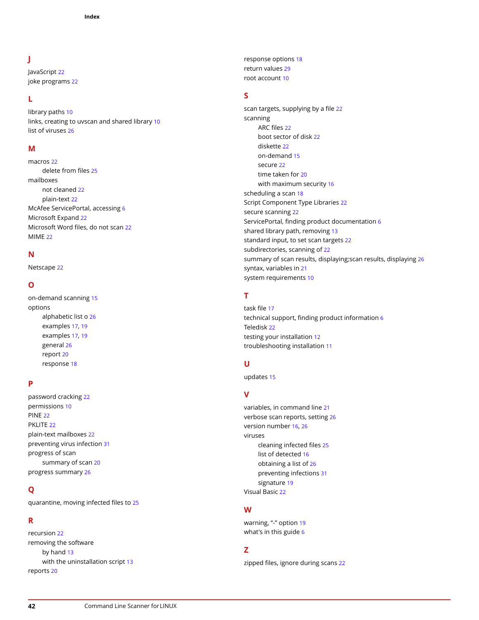### **J**

JavaScript [22](#page-21-0) joke programs [22](#page-21-0)

### **L**

library paths [10](#page-9-0) links, creating to uvscan and shared library [10](#page-9-0) list of viruses [26](#page-25-0)

### **M**

macros [22](#page-21-0) delete from files [25](#page-24-0) mailboxes not cleaned [22](#page-21-0) plain-text [22](#page-21-0) McAfee ServicePortal, accessing [6](#page-5-0) Microsoft Expand [22](#page-21-0) Microsoft Word files, do not scan [22](#page-21-0) MIME [22](#page-21-0)

### **N**

Netscape [22](#page-21-0)

### **O**

on-demand scanning [15](#page-14-0) options alphabetic list o [26](#page-25-0) examples [17](#page-16-0), [19](#page-18-0) examples [17](#page-16-0), [19](#page-18-0) general [26](#page-25-0) report [20](#page-19-0) response [18](#page-17-0)

### **P**

password cracking [22](#page-21-0) permissions [10](#page-9-0) PINE [22](#page-21-0) PKLITE [22](#page-21-0) plain-text mailboxes [22](#page-21-0) preventing virus infection [31](#page-30-0) progress of scan summary of scan [20](#page-19-0) progress summary [26](#page-25-0)

### **Q**

quarantine, moving infected files to [25](#page-24-0)

### **R**

recursion [22](#page-21-0) removing the software by hand [13](#page-12-0) with the uninstallation script [13](#page-12-0) reports [20](#page-19-0)

response options [18](#page-17-0) return values [29](#page-28-0) root account [10](#page-9-0)

### **S**

scan targets, supplying by a file [22](#page-21-0) scanning ARC files [22](#page-21-0) boot sector of disk [22](#page-21-0) diskette [22](#page-21-0) on-demand [15](#page-14-0) secure [22](#page-21-0) time taken for [20](#page-19-0) with maximum security [16](#page-15-0) scheduling a scan [18](#page-17-0) Script Component Type Libraries [22](#page-21-0) secure scanning [22](#page-21-0) ServicePortal, finding product documentation [6](#page-5-0) shared library path, removing [13](#page-12-0) standard input, to set scan targets [22](#page-21-0) subdirectories, scanning of [22](#page-21-0) summary of scan results, displaying;scan results, displaying [26](#page-25-0) syntax, variables in [21](#page-20-0) system requirements [10](#page-9-0)

### **T**

task file [17](#page-16-0) technical support, finding product information [6](#page-5-0) Teledisk [22](#page-21-0) testing your installation [12](#page-11-0) troubleshooting installation [11](#page-10-0)

### **U**

updates [15](#page-14-0)

### **V**

variables, in command line [21](#page-20-0) verbose scan reports, setting [26](#page-25-0) version number [16](#page-15-0), [26](#page-25-0) viruses cleaning infected files [25](#page-24-0) list of detected [16](#page-15-0) obtaining a list of [26](#page-25-0) preventing infections [31](#page-30-0) signature [19](#page-18-0) Visual Basic [22](#page-21-0)

### **W**

warning, "-" option [19](#page-18-0) what's in this guide [6](#page-5-0)

### **Z**

zipped files, ignore during scans [22](#page-21-0)